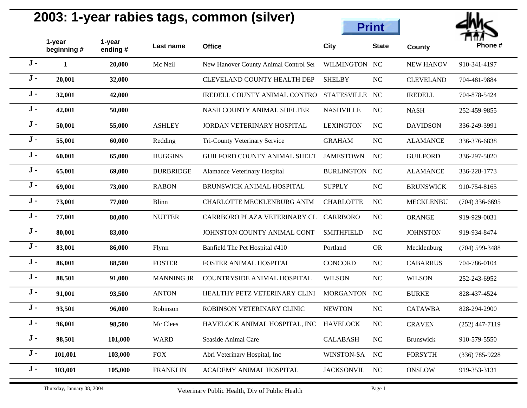

|       |                            |                   |                   |                                                |                    | <b>Print</b>   |                  | n ne             |
|-------|----------------------------|-------------------|-------------------|------------------------------------------------|--------------------|----------------|------------------|------------------|
|       | 1-year<br>beginning #      | 1-year<br>ending# | Last name         | <b>Office</b>                                  | <b>City</b>        | <b>State</b>   | County           | Phone#           |
| $J -$ | $\mathbf{1}$               | 20,000            | Mc Neil           | New Hanover County Animal Control Ser          | WILMINGTON NC      |                | <b>NEW HANOV</b> | 910-341-4197     |
| $J -$ | 20,001                     | 32,000            |                   | <b>CLEVELAND COUNTY HEALTH DEP</b>             | <b>SHELBY</b>      | NC             | <b>CLEVELAND</b> | 704-481-9884     |
| $J -$ | 32,001                     | 42,000            |                   | IREDELL COUNTY ANIMAL CONTRO                   | <b>STATESVILLE</b> | NC             | <b>IREDELL</b>   | 704-878-5424     |
| $J -$ | 42,001                     | 50,000            |                   | NASH COUNTY ANIMAL SHELTER                     | <b>NASHVILLE</b>   | NC             | <b>NASH</b>      | 252-459-9855     |
| $J -$ | 50,001                     | 55,000            | <b>ASHLEY</b>     | JORDAN VETERINARY HOSPITAL                     | <b>LEXINGTON</b>   | <b>NC</b>      | <b>DAVIDSON</b>  | 336-249-3991     |
| $J -$ | 55,001                     | 60,000            | Redding           | Tri-County Veterinary Service                  | <b>GRAHAM</b>      | <b>NC</b>      | <b>ALAMANCE</b>  | 336-376-6838     |
| $J -$ | 60,001                     | 65,000            | <b>HUGGINS</b>    | <b>GUILFORD COUNTY ANIMAL SHELT</b>            | <b>JAMESTOWN</b>   | <b>NC</b>      | <b>GUILFORD</b>  | 336-297-5020     |
| $J -$ | 65,001                     | 69,000            | <b>BURBRIDGE</b>  | Alamance Veterinary Hospital                   | BURLINGTON NC      |                | <b>ALAMANCE</b>  | 336-228-1773     |
| $J -$ | 69,001                     | 73,000            | <b>RABON</b>      | BRUNSWICK ANIMAL HOSPITAL                      | <b>SUPPLY</b>      | NC             | <b>BRUNSWICK</b> | 910-754-8165     |
| $J -$ | 73,001                     | 77,000            | Blinn             | CHARLOTTE MECKLENBURG ANIM                     | <b>CHARLOTTE</b>   | NC             | <b>MECKLENBU</b> | $(704)$ 336-6695 |
| $J -$ | 77,001                     | 80,000            | <b>NUTTER</b>     | CARRBORO PLAZA VETERINARY CL                   | <b>CARRBORO</b>    | NC             | <b>ORANGE</b>    | 919-929-0031     |
| $J -$ | 80,001                     | 83,000            |                   | JOHNSTON COUNTY ANIMAL CONT                    | <b>SMITHFIELD</b>  | <b>NC</b>      | <b>JOHNSTON</b>  | 919-934-8474     |
| $J -$ | 83,001                     | 86,000            | Flynn             | Banfield The Pet Hospital #410                 | Portland           | <b>OR</b>      | Mecklenburg      | $(704)$ 599-3488 |
| $J -$ | 86,001                     | 88,500            | <b>FOSTER</b>     | FOSTER ANIMAL HOSPITAL                         | <b>CONCORD</b>     | NC             | <b>CABARRUS</b>  | 704-786-0104     |
| $J -$ | 88,501                     | 91,000            | <b>MANNING JR</b> | COUNTRYSIDE ANIMAL HOSPITAL                    | <b>WILSON</b>      | NC             | <b>WILSON</b>    | 252-243-6952     |
| $J -$ | 91,001                     | 93,500            | <b>ANTON</b>      | HEALTHY PETZ VETERINARY CLINI                  | <b>MORGANTON</b>   | <b>NC</b>      | <b>BURKE</b>     | 828-437-4524     |
| $J -$ | 93,501                     | 96,000            | Robinson          | ROBINSON VETERINARY CLINIC                     | <b>NEWTON</b>      | <b>NC</b>      | <b>CATAWBA</b>   | 828-294-2900     |
| $J -$ | 96,001                     | 98,500            | Mc Clees          | HAVELOCK ANIMAL HOSPITAL, INC HAVELOCK         |                    | N <sub>C</sub> | <b>CRAVEN</b>    | $(252)$ 447-7119 |
| $J -$ | 98,501                     | 101,000           | <b>WARD</b>       | Seaside Animal Care                            | <b>CALABASH</b>    | NC             | Brunswick        | 910-579-5550     |
| $J -$ | 101,001                    | 103,000           | <b>FOX</b>        | Abri Veterinary Hospital, Inc                  | WINSTON-SA         | <b>NC</b>      | <b>FORSYTH</b>   | $(336)$ 785-9228 |
| $J -$ | 103,001                    | 105,000           | <b>FRANKLIN</b>   | ACADEMY ANIMAL HOSPITAL                        | <b>JACKSONVIL</b>  | <b>NC</b>      | <b>ONSLOW</b>    | 919-353-3131     |
|       | Thursday, January 08, 2004 |                   |                   | Veterinary Public Health, Div of Public Health |                    | Page 1         |                  |                  |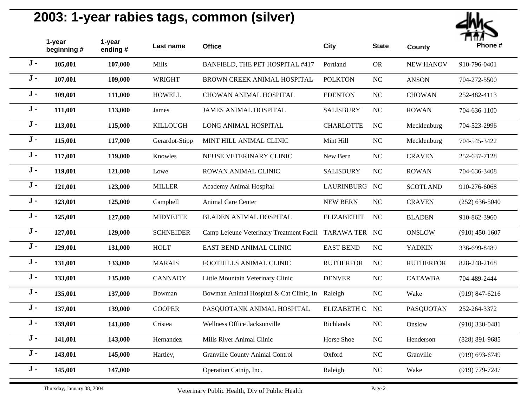

|       | 1-year<br>beginning # | 1-year<br>ending # | Last name        | <b>Office</b>                                          | <b>City</b>        | <b>State</b> | <b>County</b>    | Phone #            |
|-------|-----------------------|--------------------|------------------|--------------------------------------------------------|--------------------|--------------|------------------|--------------------|
| $J -$ | 105,001               | 107,000            | Mills            | BANFIELD, THE PET HOSPITAL #417                        | Portland           | <b>OR</b>    | <b>NEW HANOV</b> | 910-796-0401       |
| $J -$ | 107,001               | 109,000            | <b>WRIGHT</b>    | BROWN CREEK ANIMAL HOSPITAL                            | <b>POLKTON</b>     | NC           | <b>ANSON</b>     | 704-272-5500       |
| $J -$ | 109,001               | 111,000            | <b>HOWELL</b>    | <b>CHOWAN ANIMAL HOSPITAL</b>                          | <b>EDENTON</b>     | $\rm NC$     | <b>CHOWAN</b>    | 252-482-4113       |
| $J -$ | 111,001               | 113,000            | James            | <b>JAMES ANIMAL HOSPITAL</b>                           | <b>SALISBURY</b>   | NC           | <b>ROWAN</b>     | 704-636-1100       |
| $J -$ | 113,001               | 115,000            | <b>KILLOUGH</b>  | LONG ANIMAL HOSPITAL                                   | <b>CHARLOTTE</b>   | NC           | Mecklenburg      | 704-523-2996       |
| $J -$ | 115,001               | 117,000            | Gerardot-Stipp   | MINT HILL ANIMAL CLINIC                                | Mint Hill          | NC           | Mecklenburg      | 704-545-3422       |
| $J -$ | 117,001               | 119,000            | Knowles          | NEUSE VETERINARY CLINIC                                | New Bern           | NC           | <b>CRAVEN</b>    | 252-637-7128       |
| $J -$ | 119,001               | 121,000            | Lowe             | ROWAN ANIMAL CLINIC                                    | <b>SALISBURY</b>   | <b>NC</b>    | <b>ROWAN</b>     | 704-636-3408       |
| $J -$ | 121,001               | 123,000            | <b>MILLER</b>    | Academy Animal Hospital                                | LAURINBURG NC      |              | <b>SCOTLAND</b>  | 910-276-6068       |
| $J -$ | 123,001               | 125,000            | Campbell         | Animal Care Center                                     | <b>NEW BERN</b>    | $\rm NC$     | <b>CRAVEN</b>    | $(252) 636 - 5040$ |
| $J -$ | 125,001               | 127,000            | <b>MIDYETTE</b>  | <b>BLADEN ANIMAL HOSPITAL</b>                          | <b>ELIZABETHT</b>  | <b>NC</b>    | <b>BLADEN</b>    | 910-862-3960       |
| $J -$ | 127,001               | 129,000            | <b>SCHNEIDER</b> | Camp Lejeune Veterinary Treatment Facili TARAWA TER NC |                    |              | ONSLOW           | $(910)$ 450-1607   |
| $J -$ | 129,001               | 131,000            | <b>HOLT</b>      | EAST BEND ANIMAL CLINIC                                | <b>EAST BEND</b>   | NC           | <b>YADKIN</b>    | 336-699-8489       |
| $J -$ | 131,001               | 133,000            | <b>MARAIS</b>    | FOOTHILLS ANIMAL CLINIC                                | <b>RUTHERFOR</b>   | NC           | <b>RUTHERFOR</b> | 828-248-2168       |
| $J -$ | 133,001               | 135,000            | <b>CANNADY</b>   | Little Mountain Veterinary Clinic                      | <b>DENVER</b>      | NC           | <b>CATAWBA</b>   | 704-489-2444       |
| $J -$ | 135,001               | 137,000            | Bowman           | Bowman Animal Hospital & Cat Clinic, In Raleigh        |                    | NC           | Wake             | $(919)$ 847-6216   |
| $J -$ | 137,001               | 139,000            | <b>COOPER</b>    | PASQUOTANK ANIMAL HOSPITAL                             | <b>ELIZABETH C</b> | <b>NC</b>    | PASQUOTAN        | 252-264-3372       |
| $J -$ | 139,001               | 141,000            | Cristea          | Wellness Office Jacksonville                           | Richlands          | $\rm NC$     | Onslow           | $(910)$ 330-0481   |
| $J -$ | 141,001               | 143,000            | Hernandez        | Mills River Animal Clinic                              | Horse Shoe         | $\rm NC$     | Henderson        | $(828)$ 891-9685   |
| $J -$ | 143,001               | 145,000            | Hartley,         | Granville County Animal Control                        | Oxford             | NC           | Granville        | $(919) 693 - 6749$ |
| $J -$ | 145,001               | 147,000            |                  | Operation Catnip, Inc.                                 | Raleigh            | NC           | Wake             | (919) 779-7247     |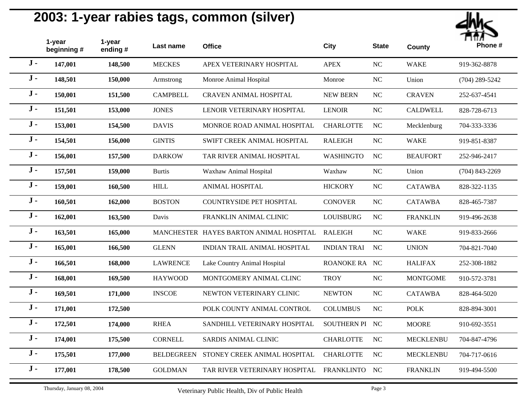

|       | 1-year<br>beginning # | 1-year<br>ending $#$ | Last name         | <b>Office</b>                           | <b>City</b>        | <b>State</b> | <b>County</b>    | Phone #          |
|-------|-----------------------|----------------------|-------------------|-----------------------------------------|--------------------|--------------|------------------|------------------|
| $J -$ | 147,001               | 148,500              | <b>MECKES</b>     | APEX VETERINARY HOSPITAL                | <b>APEX</b>        | <b>NC</b>    | <b>WAKE</b>      | 919-362-8878     |
| $J -$ | 148,501               | 150,000              | Armstrong         | Monroe Animal Hospital                  | Monroe             | NC           | Union            | $(704)$ 289-5242 |
| $J -$ | 150,001               | 151,500              | <b>CAMPBELL</b>   | CRAVEN ANIMAL HOSPITAL                  | <b>NEW BERN</b>    | $\rm NC$     | <b>CRAVEN</b>    | 252-637-4541     |
| $J -$ | 151,501               | 153,000              | <b>JONES</b>      | LENOIR VETERINARY HOSPITAL              | <b>LENOIR</b>      | NC           | <b>CALDWELL</b>  | 828-728-6713     |
| $J -$ | 153,001               | 154,500              | <b>DAVIS</b>      | MONROE ROAD ANIMAL HOSPITAL             | <b>CHARLOTTE</b>   | NC           | Mecklenburg      | 704-333-3336     |
| $J -$ | 154,501               | 156,000              | <b>GINTIS</b>     | SWIFT CREEK ANIMAL HOSPITAL             | <b>RALEIGH</b>     | NC           | <b>WAKE</b>      | 919-851-8387     |
| $J -$ | 156,001               | 157,500              | <b>DARKOW</b>     | TAR RIVER ANIMAL HOSPITAL               | <b>WASHINGTO</b>   | <b>NC</b>    | <b>BEAUFORT</b>  | 252-946-2417     |
| $J -$ | 157,501               | 159,000              | <b>Burtis</b>     | Waxhaw Animal Hospital                  | Waxhaw             | NC           | Union            | $(704)$ 843-2269 |
| $J -$ | 159,001               | 160,500              | $\mbox{HILL}$     | <b>ANIMAL HOSPITAL</b>                  | <b>HICKORY</b>     | $\rm NC$     | <b>CATAWBA</b>   | 828-322-1135     |
| $J -$ | 160,501               | 162,000              | <b>BOSTON</b>     | <b>COUNTRYSIDE PET HOSPITAL</b>         | <b>CONOVER</b>     | NC           | <b>CATAWBA</b>   | 828-465-7387     |
| $J -$ | 162,001               | 163,500              | Davis             | FRANKLIN ANIMAL CLINIC                  | LOUISBURG          | $\rm NC$     | <b>FRANKLIN</b>  | 919-496-2638     |
| $J -$ | 163,501               | 165,000              |                   | MANCHESTER HAYES BARTON ANIMAL HOSPITAL | <b>RALEIGH</b>     | <b>NC</b>    | <b>WAKE</b>      | 919-833-2666     |
| $J -$ | 165,001               | 166,500              | <b>GLENN</b>      | INDIAN TRAIL ANIMAL HOSPITAL            | <b>INDIAN TRAI</b> | <b>NC</b>    | <b>UNION</b>     | 704-821-7040     |
| $J -$ | 166,501               | 168,000              | <b>LAWRENCE</b>   | Lake Country Animal Hospital            | ROANOKE RA NC      |              | <b>HALIFAX</b>   | 252-308-1882     |
| $J -$ | 168,001               | 169,500              | <b>HAYWOOD</b>    | MONTGOMERY ANIMAL CLINC                 | <b>TROY</b>        | $\rm NC$     | <b>MONTGOME</b>  | 910-572-3781     |
| $J -$ | 169,501               | 171,000              | <b>INSCOE</b>     | NEWTON VETERINARY CLINIC                | <b>NEWTON</b>      | NC           | <b>CATAWBA</b>   | 828-464-5020     |
| $J -$ | 171,001               | 172,500              |                   | POLK COUNTY ANIMAL CONTROL              | <b>COLUMBUS</b>    | NC           | <b>POLK</b>      | 828-894-3001     |
| $J -$ | 172,501               | 174,000              | <b>RHEA</b>       | SANDHILL VETERINARY HOSPITAL            | SOUTHERN PI NC     |              | <b>MOORE</b>     | 910-692-3551     |
| $J -$ | 174,001               | 175,500              | <b>CORNELL</b>    | SARDIS ANIMAL CLINIC                    | <b>CHARLOTTE</b>   | <b>NC</b>    | <b>MECKLENBU</b> | 704-847-4796     |
| $J -$ | 175,501               | 177,000              | <b>BELDEGREEN</b> | STONEY CREEK ANIMAL HOSPITAL            | <b>CHARLOTTE</b>   | <b>NC</b>    | <b>MECKLENBU</b> | 704-717-0616     |
| $J -$ | 177,001               | 178,500              | <b>GOLDMAN</b>    | TAR RIVER VETERINARY HOSPITAL           | <b>FRANKLINTO</b>  | NC           | <b>FRANKLIN</b>  | 919-494-5500     |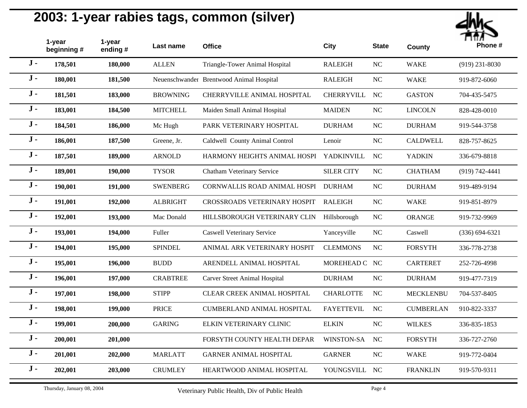

|       | 1-year<br>beginning # | 1-year<br>ending # | Last name       | <b>Office</b>                            | <b>City</b>       | <b>State</b> | County           | Phone #            |
|-------|-----------------------|--------------------|-----------------|------------------------------------------|-------------------|--------------|------------------|--------------------|
| $J -$ | 178,501               | 180,000            | <b>ALLEN</b>    | Triangle-Tower Animal Hospital           | <b>RALEIGH</b>    | $NC$         | <b>WAKE</b>      | $(919)$ 231-8030   |
| $J -$ | 180,001               | 181,500            |                 | Neuenschwander Brentwood Animal Hospital | <b>RALEIGH</b>    | $_{\rm NC}$  | <b>WAKE</b>      | 919-872-6060       |
| $J -$ | 181,501               | 183,000            | <b>BROWNING</b> | CHERRYVILLE ANIMAL HOSPITAL              | <b>CHERRYVILL</b> | $_{\rm NC}$  | <b>GASTON</b>    | 704-435-5475       |
| $J -$ | 183,001               | 184,500            | <b>MITCHELL</b> | Maiden Small Animal Hospital             | <b>MAIDEN</b>     | $\rm NC$     | <b>LINCOLN</b>   | 828-428-0010       |
| $J -$ | 184,501               | 186,000            | Mc Hugh         | PARK VETERINARY HOSPITAL                 | <b>DURHAM</b>     | NC           | <b>DURHAM</b>    | 919-544-3758       |
| $J -$ | 186,001               | 187,500            | Greene, Jr.     | Caldwell County Animal Control           | Lenoir            | $_{\rm NC}$  | <b>CALDWELL</b>  | 828-757-8625       |
| $J -$ | 187,501               | 189,000            | <b>ARNOLD</b>   | HARMONY HEIGHTS ANIMAL HOSPI             | <b>YADKINVILL</b> | NC           | <b>YADKIN</b>    | 336-679-8818       |
| $J -$ | 189,001               | 190,000            | <b>TYSOR</b>    | Chatham Veterinary Service               | <b>SILER CITY</b> | $_{\rm NC}$  | <b>CHATHAM</b>   | $(919) 742 - 4441$ |
| $J -$ | 190,001               | 191,000            | <b>SWENBERG</b> | <b>CORNWALLIS ROAD ANIMAL HOSPI</b>      | <b>DURHAM</b>     | $\rm NC$     | <b>DURHAM</b>    | 919-489-9194       |
| $J -$ | 191,001               | 192,000            | <b>ALBRIGHT</b> | CROSSROADS VETERINARY HOSPIT             | <b>RALEIGH</b>    | $_{\rm NC}$  | <b>WAKE</b>      | 919-851-8979       |
| $J -$ | 192,001               | 193,000            | Mac Donald      | HILLSBOROUGH VETERINARY CLIN             | Hillsborough      | <b>NC</b>    | <b>ORANGE</b>    | 919-732-9969       |
| $J -$ | 193,001               | 194,000            | Fuller          | <b>Caswell Veterinary Service</b>        | Yanceyville       | $_{\rm NC}$  | Caswell          | $(336) 694 - 6321$ |
| $J -$ | 194,001               | 195,000            | <b>SPINDEL</b>  | ANIMAL ARK VETERINARY HOSPIT             | <b>CLEMMONS</b>   | $\rm NC$     | <b>FORSYTH</b>   | 336-778-2738       |
| $J -$ | 195,001               | 196,000            | <b>BUDD</b>     | ARENDELL ANIMAL HOSPITAL                 | MOREHEAD C NC     |              | <b>CARTERET</b>  | 252-726-4998       |
| $J -$ | 196,001               | 197,000            | <b>CRABTREE</b> | <b>Carver Street Animal Hospital</b>     | <b>DURHAM</b>     | $NC$         | <b>DURHAM</b>    | 919-477-7319       |
| $J -$ | 197,001               | 198,000            | <b>STIPP</b>    | CLEAR CREEK ANIMAL HOSPITAL              | <b>CHARLOTTE</b>  | $_{\rm NC}$  | <b>MECKLENBU</b> | 704-537-8405       |
| $J -$ | 198,001               | 199,000            | <b>PRICE</b>    | <b>CUMBERLAND ANIMAL HOSPITAL</b>        | <b>FAYETTEVIL</b> | NC           | <b>CUMBERLAN</b> | 910-822-3337       |
| $J -$ | 199,001               | 200,000            | <b>GARING</b>   | ELKIN VETERINARY CLINIC                  | <b>ELKIN</b>      | NC           | <b>WILKES</b>    | 336-835-1853       |
| $J -$ | 200,001               | 201,000            |                 | FORSYTH COUNTY HEALTH DEPAR              | WINSTON-SA        | NC           | <b>FORSYTH</b>   | 336-727-2760       |
| $J -$ | 201,001               | 202,000            | <b>MARLATT</b>  | <b>GARNER ANIMAL HOSPITAL</b>            | <b>GARNER</b>     | $NC$         | <b>WAKE</b>      | 919-772-0404       |
| $J -$ | 202,001               | 203,000            | <b>CRUMLEY</b>  | HEARTWOOD ANIMAL HOSPITAL                | YOUNGSVILL        | NC           | <b>FRANKLIN</b>  | 919-570-9311       |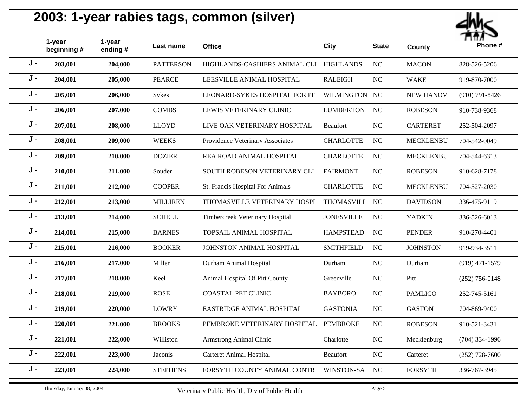

|       | 1-year<br>beginning# | 1-year<br>ending# | Last name        | <b>Office</b>                           | <b>City</b>       | <b>State</b> | <b>County</b>    | Phone #          |
|-------|----------------------|-------------------|------------------|-----------------------------------------|-------------------|--------------|------------------|------------------|
| $J -$ | 203,001              | 204,000           | <b>PATTERSON</b> | HIGHLANDS-CASHIERS ANIMAL CLI HIGHLANDS |                   | <b>NC</b>    | <b>MACON</b>     | 828-526-5206     |
| $J -$ | 204,001              | 205,000           | <b>PEARCE</b>    | LEESVILLE ANIMAL HOSPITAL               | <b>RALEIGH</b>    | <b>NC</b>    | <b>WAKE</b>      | 919-870-7000     |
| $J -$ | 205,001              | 206,000           | Sykes            | LEONARD-SYKES HOSPITAL FOR PE           | WILMINGTON NC     |              | <b>NEW HANOV</b> | $(910)$ 791-8426 |
| $J -$ | 206,001              | 207,000           | <b>COMBS</b>     | LEWIS VETERINARY CLINIC                 | <b>LUMBERTON</b>  | <b>NC</b>    | <b>ROBESON</b>   | 910-738-9368     |
| $J -$ | 207,001              | 208,000           | <b>LLOYD</b>     | LIVE OAK VETERINARY HOSPITAL            | Beaufort          | <b>NC</b>    | <b>CARTERET</b>  | 252-504-2097     |
| $J -$ | 208,001              | 209,000           | <b>WEEKS</b>     | Providence Veterinary Associates        | <b>CHARLOTTE</b>  | <b>NC</b>    | <b>MECKLENBU</b> | 704-542-0049     |
| $J -$ | 209,001              | 210,000           | <b>DOZIER</b>    | REA ROAD ANIMAL HOSPITAL                | <b>CHARLOTTE</b>  | <b>NC</b>    | <b>MECKLENBU</b> | 704-544-6313     |
| $J -$ | 210,001              | 211,000           | Souder           | SOUTH ROBESON VETERINARY CLI            | <b>FAIRMONT</b>   | <b>NC</b>    | <b>ROBESON</b>   | 910-628-7178     |
| $J -$ | 211,001              | 212,000           | <b>COOPER</b>    | St. Francis Hospital For Animals        | <b>CHARLOTTE</b>  | <b>NC</b>    | <b>MECKLENBU</b> | 704-527-2030     |
| $J -$ | 212,001              | 213,000           | <b>MILLIREN</b>  | THOMASVILLE VETERINARY HOSPI            | THOMASVILL NC     |              | <b>DAVIDSON</b>  | 336-475-9119     |
| $J -$ | 213,001              | 214,000           | <b>SCHELL</b>    | Timbercreek Veterinary Hospital         | <b>JONESVILLE</b> | <b>NC</b>    | <b>YADKIN</b>    | 336-526-6013     |
| $J -$ | 214,001              | 215,000           | <b>BARNES</b>    | TOPSAIL ANIMAL HOSPITAL                 | <b>HAMPSTEAD</b>  | NC           | <b>PENDER</b>    | 910-270-4401     |
| $J -$ | 215,001              | 216,000           | <b>BOOKER</b>    | JOHNSTON ANIMAL HOSPITAL                | <b>SMITHFIELD</b> | <b>NC</b>    | <b>JOHNSTON</b>  | 919-934-3511     |
| $J -$ | 216,001              | 217,000           | Miller           | Durham Animal Hospital                  | Durham            | <b>NC</b>    | Durham           | $(919)$ 471-1579 |
| $J -$ | 217,001              | 218,000           | Keel             | Animal Hospital Of Pitt County          | Greenville        | NC           | Pitt             | $(252)$ 756-0148 |
| $J -$ | 218,001              | 219,000           | <b>ROSE</b>      | <b>COASTAL PET CLINIC</b>               | <b>BAYBORO</b>    | NC           | <b>PAMLICO</b>   | 252-745-5161     |
| $J -$ | 219,001              | 220,000           | <b>LOWRY</b>     | EASTRIDGE ANIMAL HOSPITAL               | <b>GASTONIA</b>   | <b>NC</b>    | <b>GASTON</b>    | 704-869-9400     |
| $J -$ | 220,001              | 221,000           | <b>BROOKS</b>    | PEMBROKE VETERINARY HOSPITAL            | PEMBROKE          | NC           | <b>ROBESON</b>   | 910-521-3431     |
| $J -$ | 221,001              | 222,000           | Williston        | Armstrong Animal Clinic                 | Charlotte         | <b>NC</b>    | Mecklenburg      | $(704)$ 334-1996 |
| $J -$ | 222,001              | 223,000           | <b>Jaconis</b>   | <b>Carteret Animal Hospital</b>         | Beaufort          | NC           | Carteret         | $(252)$ 728-7600 |
| $J -$ | 223,001              | 224,000           | <b>STEPHENS</b>  | FORSYTH COUNTY ANIMAL CONTR             | WINSTON-SA        | <b>NC</b>    | <b>FORSYTH</b>   | 336-767-3945     |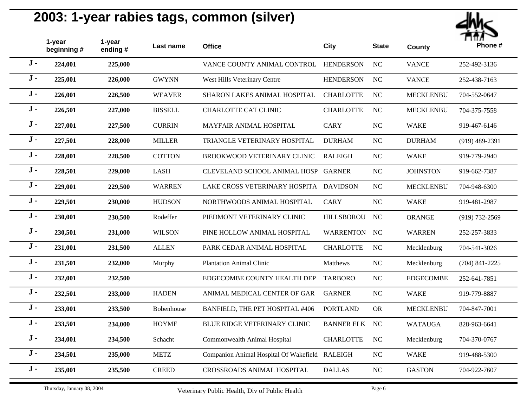

|       | 1-year<br>beginning # | 1-year<br>ending# | Last name      | <b>Office</b>                                  | <b>City</b>       | <b>State</b> | <b>County</b>    | Phone #            |
|-------|-----------------------|-------------------|----------------|------------------------------------------------|-------------------|--------------|------------------|--------------------|
| $J -$ | 224,001               | 225,000           |                | VANCE COUNTY ANIMAL CONTROL HENDERSON          |                   | <b>NC</b>    | <b>VANCE</b>     | 252-492-3136       |
| $J -$ | 225,001               | 226,000           | <b>GWYNN</b>   | West Hills Veterinary Centre                   | <b>HENDERSON</b>  | <b>NC</b>    | <b>VANCE</b>     | 252-438-7163       |
| $J -$ | 226,001               | 226,500           | <b>WEAVER</b>  | SHARON LAKES ANIMAL HOSPITAL                   | <b>CHARLOTTE</b>  | <b>NC</b>    | <b>MECKLENBU</b> | 704-552-0647       |
| $J -$ | 226,501               | 227,000           | <b>BISSELL</b> | <b>CHARLOTTE CAT CLINIC</b>                    | <b>CHARLOTTE</b>  | NC           | <b>MECKLENBU</b> | 704-375-7558       |
| $J -$ | 227,001               | 227,500           | <b>CURRIN</b>  | MAYFAIR ANIMAL HOSPITAL                        | <b>CARY</b>       | $\rm NC$     | <b>WAKE</b>      | 919-467-6146       |
| $J -$ | 227,501               | 228,000           | <b>MILLER</b>  | TRIANGLE VETERINARY HOSPITAL                   | <b>DURHAM</b>     | $\rm NC$     | <b>DURHAM</b>    | $(919)$ 489-2391   |
| $J -$ | 228,001               | 228,500           | <b>COTTON</b>  | BROOKWOOD VETERINARY CLINIC                    | <b>RALEIGH</b>    | $\rm NC$     | <b>WAKE</b>      | 919-779-2940       |
| $J -$ | 228,501               | 229,000           | <b>LASH</b>    | CLEVELAND SCHOOL ANIMAL HOSP                   | <b>GARNER</b>     | NC           | <b>JOHNSTON</b>  | 919-662-7387       |
| $J -$ | 229,001               | 229,500           | <b>WARREN</b>  | LAKE CROSS VETERINARY HOSPITA                  | <b>DAVIDSON</b>   | $\rm NC$     | <b>MECKLENBU</b> | 704-948-6300       |
| $J -$ | 229,501               | 230,000           | <b>HUDSON</b>  | NORTHWOODS ANIMAL HOSPITAL                     | <b>CARY</b>       | $\rm NC$     | <b>WAKE</b>      | 919-481-2987       |
| $J -$ | 230,001               | 230,500           | Rodeffer       | PIEDMONT VETERINARY CLINIC                     | <b>HILLSBOROU</b> | NC           | <b>ORANGE</b>    | $(919) 732 - 2569$ |
| $J -$ | 230,501               | 231,000           | <b>WILSON</b>  | PINE HOLLOW ANIMAL HOSPITAL                    | <b>WARRENTON</b>  | <b>NC</b>    | <b>WARREN</b>    | 252-257-3833       |
| $J -$ | 231,001               | 231,500           | <b>ALLEN</b>   | PARK CEDAR ANIMAL HOSPITAL                     | <b>CHARLOTTE</b>  | <b>NC</b>    | Mecklenburg      | 704-541-3026       |
| $J -$ | 231,501               | 232,000           | Murphy         | <b>Plantation Animal Clinic</b>                | Matthews          | <b>NC</b>    | Mecklenburg      | $(704)$ 841-2225   |
| $J -$ | 232,001               | 232,500           |                | EDGECOMBE COUNTY HEALTH DEP                    | <b>TARBORO</b>    | <b>NC</b>    | <b>EDGECOMBE</b> | 252-641-7851       |
| $J -$ | 232,501               | 233,000           | <b>HADEN</b>   | ANIMAL MEDICAL CENTER OF GAR                   | <b>GARNER</b>     | <b>NC</b>    | <b>WAKE</b>      | 919-779-8887       |
| $J -$ | 233,001               | 233,500           | Bobenhouse     | BANFIELD, THE PET HOSPITAL #406                | <b>PORTLAND</b>   | <b>OR</b>    | <b>MECKLENBU</b> | 704-847-7001       |
| $J -$ | 233,501               | 234,000           | <b>HOYME</b>   | BLUE RIDGE VETERINARY CLINIC                   | <b>BANNER ELK</b> | NC           | <b>WATAUGA</b>   | 828-963-6641       |
| $J -$ | 234,001               | 234,500           | Schacht        | Commonwealth Animal Hospital                   | <b>CHARLOTTE</b>  | <b>NC</b>    | Mecklenburg      | 704-370-0767       |
| $J -$ | 234,501               | 235,000           | <b>METZ</b>    | Companion Animal Hospital Of Wakefield RALEIGH |                   | $\rm NC$     | <b>WAKE</b>      | 919-488-5300       |
| $J -$ | 235,001               | 235,500           | <b>CREED</b>   | <b>CROSSROADS ANIMAL HOSPITAL</b>              | <b>DALLAS</b>     | $\rm NC$     | <b>GASTON</b>    | 704-922-7607       |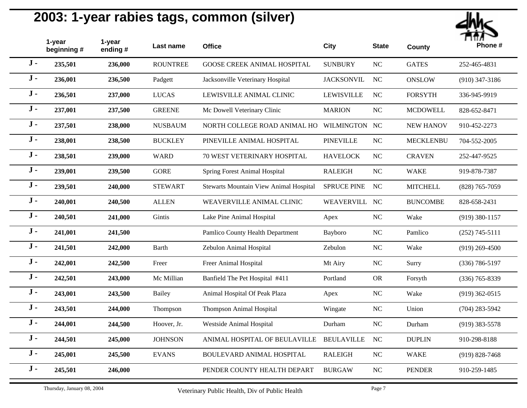

|       | 1-year<br>beginning # | 1-year<br>ending $#$ | Last name       | <b>Office</b>                                 | <b>City</b>        | <b>State</b> | <b>County</b>    | Phone #            |
|-------|-----------------------|----------------------|-----------------|-----------------------------------------------|--------------------|--------------|------------------|--------------------|
| $J -$ | 235,501               | 236,000              | <b>ROUNTREE</b> | GOOSE CREEK ANIMAL HOSPITAL                   | <b>SUNBURY</b>     | $\rm NC$     | <b>GATES</b>     | 252-465-4831       |
| $J -$ | 236,001               | 236,500              | Padgett         | Jacksonville Veterinary Hospital              | <b>JACKSONVIL</b>  | <b>NC</b>    | <b>ONSLOW</b>    | $(910)$ 347-3186   |
| $J -$ | 236,501               | 237,000              | <b>LUCAS</b>    | LEWISVILLE ANIMAL CLINIC                      | <b>LEWISVILLE</b>  | $\rm NC$     | <b>FORSYTH</b>   | 336-945-9919       |
| $J -$ | 237,001               | 237,500              | <b>GREENE</b>   | Mc Dowell Veterinary Clinic                   | <b>MARION</b>      | <b>NC</b>    | <b>MCDOWELL</b>  | 828-652-8471       |
| $J -$ | 237,501               | 238,000              | <b>NUSBAUM</b>  | NORTH COLLEGE ROAD ANIMAL HO                  | WILMINGTON NC      |              | <b>NEW HANOV</b> | 910-452-2273       |
| $J -$ | 238,001               | 238,500              | <b>BUCKLEY</b>  | PINEVILLE ANIMAL HOSPITAL                     | <b>PINEVILLE</b>   | $\rm NC$     | <b>MECKLENBU</b> | 704-552-2005       |
| $J -$ | 238,501               | 239,000              | <b>WARD</b>     | 70 WEST VETERINARY HOSPITAL                   | <b>HAVELOCK</b>    | $\rm NC$     | <b>CRAVEN</b>    | 252-447-9525       |
| $J -$ | 239,001               | 239,500              | <b>GORE</b>     | <b>Spring Forest Animal Hospital</b>          | <b>RALEIGH</b>     | <b>NC</b>    | <b>WAKE</b>      | 919-878-7387       |
| $J -$ | 239,501               | 240,000              | <b>STEWART</b>  | <b>Stewarts Mountain View Animal Hospital</b> | <b>SPRUCE PINE</b> | <b>NC</b>    | <b>MITCHELL</b>  | $(828)$ 765-7059   |
| $J -$ | 240,001               | 240,500              | <b>ALLEN</b>    | WEAVERVILLE ANIMAL CLINIC                     | WEAVERVILL         | NC           | <b>BUNCOMBE</b>  | 828-658-2431       |
| $J -$ | 240,501               | 241,000              | Gintis          | Lake Pine Animal Hospital                     | Apex               | $\rm NC$     | Wake             | $(919)$ 380-1157   |
| $J -$ | 241,001               | 241,500              |                 | Pamlico County Health Department              | Bayboro            | <b>NC</b>    | Pamlico          | $(252)$ 745-5111   |
| $J -$ | 241,501               | 242,000              | <b>Barth</b>    | Zebulon Animal Hospital                       | Zebulon            | NC           | Wake             | $(919)$ 269-4500   |
| $J -$ | 242,001               | 242,500              | Freer           | Freer Animal Hospital                         | Mt Airy            | NC           | Surry            | $(336) 786 - 5197$ |
| $J -$ | 242,501               | 243,000              | Mc Millian      | Banfield The Pet Hospital #411                | Portland           | <b>OR</b>    | Forsyth          | $(336)$ 765-8339   |
| $J -$ | 243,001               | 243,500              | Bailey          | Animal Hospital Of Peak Plaza                 | Apex               | NC           | Wake             | $(919)$ 362-0515   |
| $J -$ | 243,501               | 244,000              | Thompson        | <b>Thompson Animal Hospital</b>               | Wingate            | <b>NC</b>    | Union            | $(704)$ 283-5942   |
| $J -$ | 244,001               | 244,500              | Hoover, Jr.     | Westside Animal Hospital                      | Durham             | NC           | Durham           | $(919)$ 383-5578   |
| $J -$ | 244,501               | 245,000              | <b>JOHNSON</b>  | ANIMAL HOSPITAL OF BEULAVILLE                 | <b>BEULAVILLE</b>  | NC           | <b>DUPLIN</b>    | 910-298-8188       |
| $J -$ | 245,001               | 245,500              | <b>EVANS</b>    | BOULEVARD ANIMAL HOSPITAL                     | <b>RALEIGH</b>     | $\rm NC$     | <b>WAKE</b>      | $(919) 828 - 7468$ |
| $J -$ | 245,501               | 246,000              |                 | PENDER COUNTY HEALTH DEPART                   | <b>BURGAW</b>      | <b>NC</b>    | <b>PENDER</b>    | 910-259-1485       |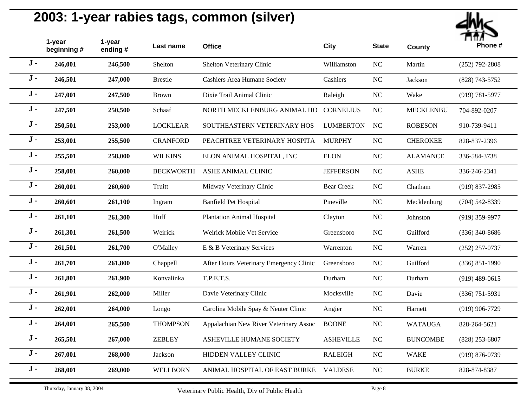

|       | 1-year<br>beginning # | 1-year<br>ending# | Last name        | <b>Office</b>                           | <b>City</b>       | <b>State</b>   | <b>County</b>    | Phone #            |
|-------|-----------------------|-------------------|------------------|-----------------------------------------|-------------------|----------------|------------------|--------------------|
| $J -$ | 246,001               | 246,500           | Shelton          | Shelton Veterinary Clinic               | Williamston       | <b>NC</b>      | Martin           | $(252)$ 792-2808   |
| $J -$ | 246,501               | 247,000           | <b>Brestle</b>   | Cashiers Area Humane Society            | Cashiers          | <b>NC</b>      | Jackson          | (828) 743-5752     |
| $J -$ | 247,001               | 247,500           | <b>Brown</b>     | Dixie Trail Animal Clinic               | Raleigh           | NC             | Wake             | $(919) 781 - 5977$ |
| $J -$ | 247,501               | 250,500           | Schaaf           | NORTH MECKLENBURG ANIMAL HO             | <b>CORNELIUS</b>  | <b>NC</b>      | <b>MECKLENBU</b> | 704-892-0207       |
| $J -$ | 250,501               | 253,000           | <b>LOCKLEAR</b>  | SOUTHEASTERN VETERINARY HOS             | <b>LUMBERTON</b>  | <b>NC</b>      | <b>ROBESON</b>   | 910-739-9411       |
| $J -$ | 253,001               | 255,500           | <b>CRANFORD</b>  | PEACHTREE VETERINARY HOSPITA            | <b>MURPHY</b>     | <b>NC</b>      | <b>CHEROKEE</b>  | 828-837-2396       |
| $J -$ | 255,501               | 258,000           | <b>WILKINS</b>   | ELON ANIMAL HOSPITAL, INC               | <b>ELON</b>       | NC             | <b>ALAMANCE</b>  | 336-584-3738       |
| $J -$ | 258,001               | 260,000           | <b>BECKWORTH</b> | ASHE ANIMAL CLINIC                      | <b>JEFFERSON</b>  | <b>NC</b>      | <b>ASHE</b>      | 336-246-2341       |
| $J -$ | 260,001               | 260,600           | Truitt           | Midway Veterinary Clinic                | <b>Bear Creek</b> | <b>NC</b>      | Chatham          | $(919)$ 837-2985   |
| $J -$ | 260,601               | 261,100           | Ingram           | <b>Banfield Pet Hospital</b>            | Pineville         | $\rm NC$       | Mecklenburg      | $(704)$ 542-8339   |
| $J -$ | 261,101               | 261,300           | Huff             | <b>Plantation Animal Hospital</b>       | Clayton           | <b>NC</b>      | Johnston         | $(919)$ 359-9977   |
| $J -$ | 261,301               | 261,500           | Weirick          | Weirick Mobile Vet Service              | Greensboro        | <b>NC</b>      | Guilford         | $(336)$ 340-8686   |
| $J -$ | 261,501               | 261,700           | <b>O'Malley</b>  | E & B Veterinary Services               | Warrenton         | NC             | Warren           | $(252)$ 257-0737   |
| $J -$ | 261,701               | 261,800           | Chappell         | After Hours Veterinary Emergency Clinic | Greensboro        | <b>NC</b>      | Guilford         | $(336) 851 - 1990$ |
| $J -$ | 261,801               | 261,900           | Konvalinka       | T.P.E.T.S.                              | Durham            | NC             | Durham           | $(919)$ 489-0615   |
| $J -$ | 261,901               | 262,000           | Miller           | Davie Veterinary Clinic                 | Mocksville        | NC             | Davie            | $(336)$ 751-5931   |
| $J -$ | 262,001               | 264,000           | Longo            | Carolina Mobile Spay & Neuter Clinic    | Angier            | <b>NC</b>      | Harnett          | $(919)$ 906-7729   |
| $J -$ | 264,001               | 265,500           | <b>THOMPSON</b>  | Appalachian New River Veterinary Assoc  | <b>BOONE</b>      | NC             | <b>WATAUGA</b>   | 828-264-5621       |
| $J -$ | 265,501               | 267,000           | <b>ZEBLEY</b>    | <b>ASHEVILLE HUMANE SOCIETY</b>         | <b>ASHEVILLE</b>  | NC             | <b>BUNCOMBE</b>  | $(828)$ 253-6807   |
| $J -$ | 267,001               | 268,000           | Jackson          | HIDDEN VALLEY CLINIC                    | <b>RALEIGH</b>    | NC             | <b>WAKE</b>      | $(919) 876 - 0739$ |
| $J -$ | 268,001               | 269,000           | WELLBORN         | ANIMAL HOSPITAL OF EAST BURKE           | <b>VALDESE</b>    | N <sub>C</sub> | <b>BURKE</b>     | 828-874-8387       |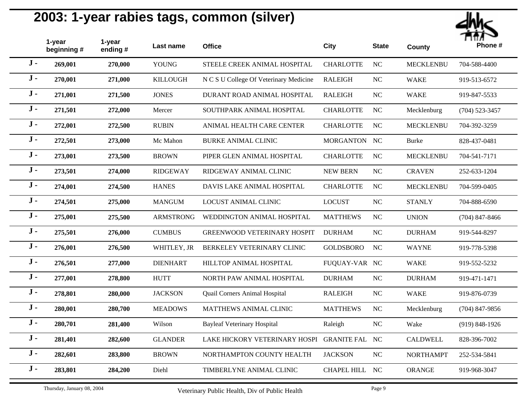

|       | 1-year<br>beginning # | 1-year<br>ending # | Last name       | <b>Office</b>                          | <b>City</b>        | <b>State</b> | <b>County</b>    | <br>Phone #        |
|-------|-----------------------|--------------------|-----------------|----------------------------------------|--------------------|--------------|------------------|--------------------|
| $J -$ | 269,001               | 270,000            | <b>YOUNG</b>    | STEELE CREEK ANIMAL HOSPITAL           | <b>CHARLOTTE</b>   | <b>NC</b>    | <b>MECKLENBU</b> | 704-588-4400       |
| $J -$ | 270,001               | 271,000            | <b>KILLOUGH</b> | N C S U College Of Veterinary Medicine | <b>RALEIGH</b>     | NC           | <b>WAKE</b>      | 919-513-6572       |
| $J -$ | 271,001               | 271,500            | <b>JONES</b>    | DURANT ROAD ANIMAL HOSPITAL            | <b>RALEIGH</b>     | $\rm NC$     | <b>WAKE</b>      | 919-847-5533       |
| $J -$ | 271,501               | 272,000            | Mercer          | SOUTHPARK ANIMAL HOSPITAL              | <b>CHARLOTTE</b>   | <b>NC</b>    | Mecklenburg      | $(704)$ 523-3457   |
| $J -$ | 272,001               | 272,500            | <b>RUBIN</b>    | ANIMAL HEALTH CARE CENTER              | <b>CHARLOTTE</b>   | NC           | <b>MECKLENBU</b> | 704-392-3259       |
| $J -$ | 272,501               | 273,000            | Mc Mahon        | <b>BURKE ANIMAL CLINIC</b>             | <b>MORGANTON</b>   | NC           | <b>Burke</b>     | 828-437-0481       |
| $J -$ | 273,001               | 273,500            | <b>BROWN</b>    | PIPER GLEN ANIMAL HOSPITAL             | <b>CHARLOTTE</b>   | <b>NC</b>    | <b>MECKLENBU</b> | 704-541-7171       |
| $J -$ | 273,501               | 274,000            | <b>RIDGEWAY</b> | RIDGEWAY ANIMAL CLINIC                 | <b>NEW BERN</b>    | <b>NC</b>    | <b>CRAVEN</b>    | 252-633-1204       |
| $J -$ | 274,001               | 274,500            | <b>HANES</b>    | DAVIS LAKE ANIMAL HOSPITAL             | <b>CHARLOTTE</b>   | $\rm NC$     | <b>MECKLENBU</b> | 704-599-0405       |
| $J -$ | 274,501               | 275,000            | <b>MANGUM</b>   | LOCUST ANIMAL CLINIC                   | <b>LOCUST</b>      | NC           | <b>STANLY</b>    | 704-888-6590       |
| $J -$ | 275,001               | 275,500            | ARMSTRONG       | WEDDINGTON ANIMAL HOSPITAL             | <b>MATTHEWS</b>    | <b>NC</b>    | <b>UNION</b>     | $(704)$ 847-8466   |
| $J -$ | 275,501               | 276,000            | <b>CUMBUS</b>   | <b>GREENWOOD VETERINARY HOSPIT</b>     | <b>DURHAM</b>      | $\rm NC$     | <b>DURHAM</b>    | 919-544-8297       |
| $J -$ | 276,001               | 276,500            | WHITLEY, JR     | BERKELEY VETERINARY CLINIC             | <b>GOLDSBORO</b>   | NC           | <b>WAYNE</b>     | 919-778-5398       |
| $J -$ | 276,501               | 277,000            | <b>DIENHART</b> | HILLTOP ANIMAL HOSPITAL                | FUQUAY-VAR NC      |              | <b>WAKE</b>      | 919-552-5232       |
| $J -$ | 277,001               | 278,800            | <b>HUTT</b>     | NORTH PAW ANIMAL HOSPITAL              | <b>DURHAM</b>      | $\rm NC$     | <b>DURHAM</b>    | 919-471-1471       |
| $J -$ | 278,801               | 280,000            | <b>JACKSON</b>  | Quail Corners Animal Hospital          | <b>RALEIGH</b>     | NC           | <b>WAKE</b>      | 919-876-0739       |
| $J -$ | 280,001               | 280,700            | <b>MEADOWS</b>  | MATTHEWS ANIMAL CLINIC                 | <b>MATTHEWS</b>    | <b>NC</b>    | Mecklenburg      | $(704)$ 847-9856   |
| $J -$ | 280,701               | 281,400            | Wilson          | <b>Bayleaf Veterinary Hospital</b>     | Raleigh            | <b>NC</b>    | Wake             | $(919) 848 - 1926$ |
| $J -$ | 281,401               | 282,600            | <b>GLANDER</b>  | LAKE HICKORY VETERINARY HOSPI          | <b>GRANITE FAL</b> | NC           | <b>CALDWELL</b>  | 828-396-7002       |
| $J -$ | 282,601               | 283,800            | <b>BROWN</b>    | NORTHAMPTON COUNTY HEALTH              | <b>JACKSON</b>     | NC           | <b>NORTHAMPT</b> | 252-534-5841       |
| $J -$ | 283,801               | 284,200            | Diehl           | TIMBERLYNE ANIMAL CLINIC               | <b>CHAPEL HILL</b> | <b>NC</b>    | ORANGE           | 919-968-3047       |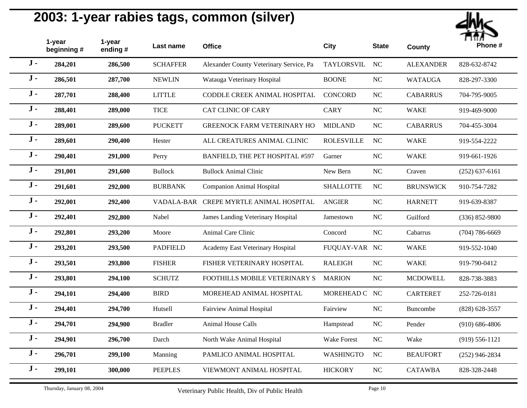

|       | 1-year<br>beginning # | 1-year<br>ending # | Last name       | <b>Office</b>                           | <b>City</b>       | <b>State</b> | <b>County</b>    | <br>Phone #        |
|-------|-----------------------|--------------------|-----------------|-----------------------------------------|-------------------|--------------|------------------|--------------------|
| $J -$ | 284,201               | 286,500            | <b>SCHAFFER</b> | Alexander County Veterinary Service, Pa | TAYLORSVIL        | NC           | <b>ALEXANDER</b> | 828-632-8742       |
| $J -$ | 286,501               | 287,700            | <b>NEWLIN</b>   | Watauga Veterinary Hospital             | <b>BOONE</b>      | $_{\rm NC}$  | <b>WATAUGA</b>   | 828-297-3300       |
| $J -$ | 287,701               | 288,400            | <b>LITTLE</b>   | CODDLE CREEK ANIMAL HOSPITAL            | <b>CONCORD</b>    | $\rm NC$     | <b>CABARRUS</b>  | 704-795-9005       |
| $J -$ | 288,401               | 289,000            | <b>TICE</b>     | <b>CAT CLINIC OF CARY</b>               | <b>CARY</b>       | NC           | <b>WAKE</b>      | 919-469-9000       |
| $J -$ | 289,001               | 289,600            | <b>PUCKETT</b>  | <b>GREENOCK FARM VETERINARY HO</b>      | <b>MIDLAND</b>    | $_{\rm NC}$  | <b>CABARRUS</b>  | 704-455-3004       |
| $J -$ | 289,601               | 290,400            | Hester          | ALL CREATURES ANIMAL CLINIC             | <b>ROLESVILLE</b> | $_{\rm NC}$  | <b>WAKE</b>      | 919-554-2222       |
| $J -$ | 290,401               | 291,000            | Perry           | BANFIELD, THE PET HOSPITAL #597         | Garner            | $\rm NC$     | <b>WAKE</b>      | 919-661-1926       |
| $J -$ | 291,001               | 291,600            | <b>Bullock</b>  | <b>Bullock Animal Clinic</b>            | New Bern          | NC           | Craven           | $(252) 637 - 6161$ |
| $J -$ | 291,601               | 292,000            | <b>BURBANK</b>  | <b>Companion Animal Hospital</b>        | <b>SHALLOTTE</b>  | NC           | <b>BRUNSWICK</b> | 910-754-7282       |
| $J -$ | 292,001               | 292,400            | VADALA-BAR      | CREPE MYRTLE ANIMAL HOSPITAL            | <b>ANGIER</b>     | $_{\rm NC}$  | <b>HARNETT</b>   | 919-639-8387       |
| $J -$ | 292,401               | 292,800            | Nabel           | James Landing Veterinary Hospital       | Jamestown         | $NC$         | Guilford         | $(336) 852 - 9800$ |
| $J -$ | 292,801               | 293,200            | Moore           | Animal Care Clinic                      | Concord           | NC           | Cabarrus         | $(704) 786 - 6669$ |
| $J -$ | 293,201               | 293,500            | <b>PADFIELD</b> | Academy East Veterinary Hospital        | FUQUAY-VAR NC     |              | <b>WAKE</b>      | 919-552-1040       |
| $J -$ | 293,501               | 293,800            | <b>FISHER</b>   | FISHER VETERINARY HOSPITAL              | <b>RALEIGH</b>    | $NC$         | <b>WAKE</b>      | 919-790-0412       |
| $J -$ | 293,801               | 294,100            | <b>SCHUTZ</b>   | FOOTHILLS MOBILE VETERINARY S           | <b>MARION</b>     | NC           | <b>MCDOWELL</b>  | 828-738-3883       |
| $J -$ | 294,101               | 294,400            | <b>BIRD</b>     | MOREHEAD ANIMAL HOSPITAL                | MOREHEAD C NC     |              | <b>CARTERET</b>  | 252-726-0181       |
| $J -$ | 294,401               | 294,700            | Hutsell         | Fairview Animal Hospital                | Fairview          | NC           | <b>Buncombe</b>  | $(828) 628 - 3557$ |
| $J -$ | 294,701               | 294,900            | <b>Bradler</b>  | <b>Animal House Calls</b>               | Hampstead         | $_{\rm NC}$  | Pender           | $(910) 686 - 4806$ |
| $J -$ | 294,901               | 296,700            | Darch           | North Wake Animal Hospital              | Wake Forest       | NC           | Wake             | $(919) 556 - 1121$ |
| $J -$ | 296,701               | 299,100            | Manning         | PAMLICO ANIMAL HOSPITAL                 | <b>WASHINGTO</b>  | <b>NC</b>    | <b>BEAUFORT</b>  | $(252)$ 946-2834   |
| $J -$ | 299,101               | 300,000            | <b>PEEPLES</b>  | VIEWMONT ANIMAL HOSPITAL                | <b>HICKORY</b>    | NC           | <b>CATAWBA</b>   | 828-328-2448       |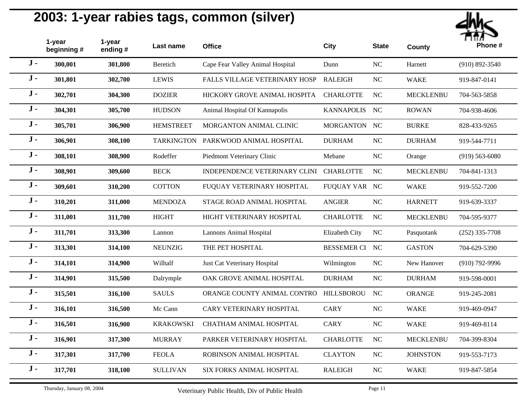

|       | 1-year<br>beginning # | 1-year<br>ending $#$ | Last name         | <b>Office</b>                    | <b>City</b>        | <b>State</b> | <b>County</b>    | Phone #            |
|-------|-----------------------|----------------------|-------------------|----------------------------------|--------------------|--------------|------------------|--------------------|
| $J -$ | 300,001               | 301,800              | Beretich          | Cape Fear Valley Animal Hospital | Dunn               | NC           | Harnett          | $(910) 892 - 3540$ |
| $J -$ | 301,801               | 302,700              | <b>LEWIS</b>      | FALLS VILLAGE VETERINARY HOSP    | <b>RALEIGH</b>     | NC           | <b>WAKE</b>      | 919-847-0141       |
| $J -$ | 302,701               | 304,300              | <b>DOZIER</b>     | HICKORY GROVE ANIMAL HOSPITA     | <b>CHARLOTTE</b>   | $\rm NC$     | <b>MECKLENBU</b> | 704-563-5858       |
| $J -$ | 304,301               | 305,700              | <b>HUDSON</b>     | Animal Hospital Of Kannapolis    | <b>KANNAPOLIS</b>  | NC           | <b>ROWAN</b>     | 704-938-4606       |
| $J -$ | 305,701               | 306,900              | <b>HEMSTREET</b>  | MORGANTON ANIMAL CLINIC          | MORGANTON NC       |              | <b>BURKE</b>     | 828-433-9265       |
| $J -$ | 306,901               | 308,100              | <b>TARKINGTON</b> | PARKWOOD ANIMAL HOSPITAL         | <b>DURHAM</b>      | NC           | <b>DURHAM</b>    | 919-544-7711       |
| $J -$ | 308,101               | 308,900              | Rodeffer          | Piedmont Veterinary Clinic       | Mebane             | <b>NC</b>    | Orange           | $(919) 563 - 6080$ |
| $J -$ | 308,901               | 309,600              | <b>BECK</b>       | INDEPENDENCE VETERINARY CLINI    | <b>CHARLOTTE</b>   | <b>NC</b>    | <b>MECKLENBU</b> | 704-841-1313       |
| $J -$ | 309,601               | 310,200              | <b>COTTON</b>     | FUQUAY VETERINARY HOSPITAL       | FUQUAY VAR NC      |              | <b>WAKE</b>      | 919-552-7200       |
| $J -$ | 310,201               | 311,000              | <b>MENDOZA</b>    | STAGE ROAD ANIMAL HOSPITAL       | <b>ANGIER</b>      | $\rm NC$     | <b>HARNETT</b>   | 919-639-3337       |
| $J -$ | 311,001               | 311,700              | <b>HIGHT</b>      | HIGHT VETERINARY HOSPITAL        | <b>CHARLOTTE</b>   | <b>NC</b>    | <b>MECKLENBU</b> | 704-595-9377       |
| $J -$ | 311,701               | 313,300              | Lannon            | <b>Lannons Animal Hospital</b>   | Elizabeth City     | NC           | Pasquotank       | $(252)$ 335-7708   |
| $J -$ | 313,301               | 314,100              | <b>NEUNZIG</b>    | THE PET HOSPITAL                 | <b>BESSEMER CI</b> | NC           | <b>GASTON</b>    | 704-629-5390       |
| $J -$ | 314,101               | 314,900              | Wilhalf           | Just Cat Veterinary Hospital     | Wilmington         | <b>NC</b>    | New Hanover      | $(910)$ 792-9996   |
| $J -$ | 314,901               | 315,500              | Dalrymple         | OAK GROVE ANIMAL HOSPITAL        | <b>DURHAM</b>      | NC           | <b>DURHAM</b>    | 919-598-0001       |
| $J -$ | 315,501               | 316,100              | <b>SAULS</b>      | ORANGE COUNTY ANIMAL CONTRO      | <b>HILLSBOROU</b>  | NC           | <b>ORANGE</b>    | 919-245-2081       |
| $J -$ | 316,101               | 316,500              | Mc Cann           | CARY VETERINARY HOSPITAL         | <b>CARY</b>        | <b>NC</b>    | <b>WAKE</b>      | 919-469-0947       |
| $J -$ | 316,501               | 316,900              | <b>KRAKOWSKI</b>  | CHATHAM ANIMAL HOSPITAL          | <b>CARY</b>        | NC           | <b>WAKE</b>      | 919-469-8114       |
| $J -$ | 316,901               | 317,300              | <b>MURRAY</b>     | PARKER VETERINARY HOSPITAL       | <b>CHARLOTTE</b>   | $\rm NC$     | <b>MECKLENBU</b> | 704-399-8304       |
| $J -$ | 317,301               | 317,700              | <b>FEOLA</b>      | ROBINSON ANIMAL HOSPITAL         | <b>CLAYTON</b>     | NC           | <b>JOHNSTON</b>  | 919-553-7173       |
| $J -$ | 317,701               | 318,100              | <b>SULLIVAN</b>   | SIX FORKS ANIMAL HOSPITAL        | <b>RALEIGH</b>     | NC           | <b>WAKE</b>      | 919-847-5854       |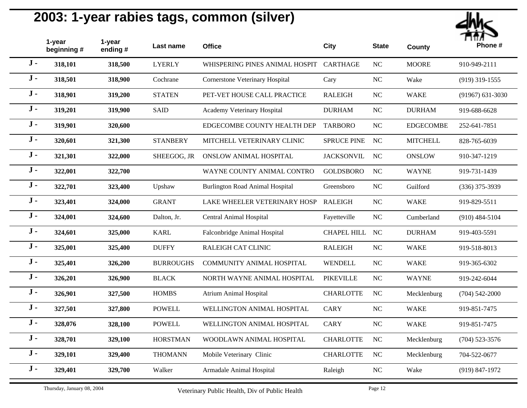

|       | 1-year<br>beginning # | 1-year<br>ending # | Last name        | <b>Office</b>                          | <b>City</b>        | <b>State</b>   | <b>County</b>    | Phone #              |
|-------|-----------------------|--------------------|------------------|----------------------------------------|--------------------|----------------|------------------|----------------------|
| $J -$ | 318,101               | 318,500            | <b>LYERLY</b>    | WHISPERING PINES ANIMAL HOSPIT         | <b>CARTHAGE</b>    | <b>NC</b>      | <b>MOORE</b>     | 910-949-2111         |
| $J -$ | 318,501               | 318,900            | Cochrane         | Cornerstone Veterinary Hospital        | Cary               | NC             | Wake             | $(919)$ 319-1555     |
| $J -$ | 318,901               | 319,200            | <b>STATEN</b>    | PET-VET HOUSE CALL PRACTICE            | <b>RALEIGH</b>     | NC             | <b>WAKE</b>      | $(91967) 631 - 3030$ |
| $J -$ | 319,201               | 319,900            | <b>SAID</b>      | Academy Veterinary Hospital            | <b>DURHAM</b>      | <b>NC</b>      | <b>DURHAM</b>    | 919-688-6628         |
| $J -$ | 319,901               | 320,600            |                  | EDGECOMBE COUNTY HEALTH DEP            | <b>TARBORO</b>     | NC             | <b>EDGECOMBE</b> | 252-641-7851         |
| $J -$ | 320,601               | 321,300            | <b>STANBERY</b>  | MITCHELL VETERINARY CLINIC             | <b>SPRUCE PINE</b> | NC             | <b>MITCHELL</b>  | 828-765-6039         |
| $J -$ | 321,301               | 322,000            | SHEEGOG, JR      | ONSLOW ANIMAL HOSPITAL                 | <b>JACKSONVIL</b>  | <b>NC</b>      | <b>ONSLOW</b>    | 910-347-1219         |
| $J -$ | 322,001               | 322,700            |                  | WAYNE COUNTY ANIMAL CONTRO             | <b>GOLDSBORO</b>   | NC             | <b>WAYNE</b>     | 919-731-1439         |
| $J -$ | 322,701               | 323,400            | Upshaw           | <b>Burlington Road Animal Hospital</b> | Greensboro         | <b>NC</b>      | Guilford         | $(336)$ 375-3939     |
| $J -$ | 323,401               | 324,000            | <b>GRANT</b>     | LAKE WHEELER VETERINARY HOSP           | <b>RALEIGH</b>     | NC             | <b>WAKE</b>      | 919-829-5511         |
| $J -$ | 324,001               | 324,600            | Dalton, Jr.      | Central Animal Hospital                | Fayetteville       | <b>NC</b>      | Cumberland       | $(910)$ 484-5104     |
| $J -$ | 324,601               | 325,000            | <b>KARL</b>      | Falconbridge Animal Hospital           | <b>CHAPEL HILL</b> | N <sub>C</sub> | <b>DURHAM</b>    | 919-403-5591         |
| $J -$ | 325,001               | 325,400            | <b>DUFFY</b>     | RALEIGH CAT CLINIC                     | <b>RALEIGH</b>     | NC             | <b>WAKE</b>      | 919-518-8013         |
| $J -$ | 325,401               | 326,200            | <b>BURROUGHS</b> | COMMUNITY ANIMAL HOSPITAL              | <b>WENDELL</b>     | <b>NC</b>      | <b>WAKE</b>      | 919-365-6302         |
| $J -$ | 326,201               | 326,900            | <b>BLACK</b>     | NORTH WAYNE ANIMAL HOSPITAL            | <b>PIKEVILLE</b>   | <b>NC</b>      | <b>WAYNE</b>     | 919-242-6044         |
| $J -$ | 326,901               | 327,500            | <b>HOMBS</b>     | <b>Atrium Animal Hospital</b>          | <b>CHARLOTTE</b>   | NC             | Mecklenburg      | $(704) 542 - 2000$   |
| $J -$ | 327,501               | 327,800            | <b>POWELL</b>    | WELLINGTON ANIMAL HOSPITAL             | <b>CARY</b>        | <b>NC</b>      | <b>WAKE</b>      | 919-851-7475         |
| $J -$ | 328,076               | 328,100            | <b>POWELL</b>    | WELLINGTON ANIMAL HOSPITAL             | <b>CARY</b>        | NC             | <b>WAKE</b>      | 919-851-7475         |
| $J -$ | 328,701               | 329,100            | <b>HORSTMAN</b>  | WOODLAWN ANIMAL HOSPITAL               | <b>CHARLOTTE</b>   | NC             | Mecklenburg      | $(704)$ 523-3576     |
| $J -$ | 329,101               | 329,400            | <b>THOMANN</b>   | Mobile Veterinary Clinic               | <b>CHARLOTTE</b>   | <b>NC</b>      | Mecklenburg      | 704-522-0677         |
| $J -$ | 329,401               | 329,700            | Walker           | Armadale Animal Hospital               | Raleigh            | NC             | Wake             | $(919) 847 - 1972$   |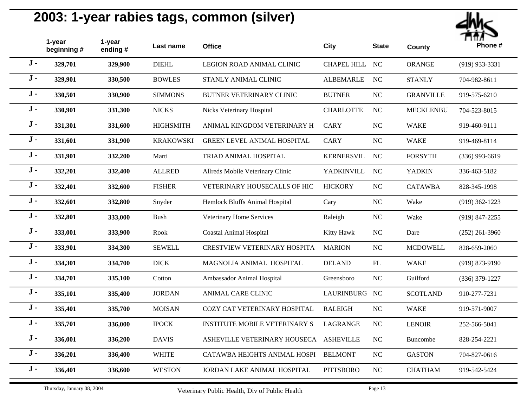

|       | 1-year<br>beginning# | 1-year<br>ending# | Last name        | <b>Office</b>                        | <b>City</b>        | <b>State</b> | <b>County</b>    | Phone #            |
|-------|----------------------|-------------------|------------------|--------------------------------------|--------------------|--------------|------------------|--------------------|
| $J -$ | 329,701              | 329,900           | <b>DIEHL</b>     | LEGION ROAD ANIMAL CLINIC            | <b>CHAPEL HILL</b> | NC           | <b>ORANGE</b>    | $(919)$ 933-3331   |
| $J -$ | 329,901              | 330,500           | <b>BOWLES</b>    | STANLY ANIMAL CLINIC                 | <b>ALBEMARLE</b>   | <b>NC</b>    | <b>STANLY</b>    | 704-982-8611       |
| $J -$ | 330,501              | 330,900           | <b>SIMMONS</b>   | <b>BUTNER VETERINARY CLINIC</b>      | <b>BUTNER</b>      | NC           | <b>GRANVILLE</b> | 919-575-6210       |
| $J -$ | 330,901              | 331,300           | <b>NICKS</b>     | Nicks Veterinary Hospital            | <b>CHARLOTTE</b>   | <b>NC</b>    | <b>MECKLENBU</b> | 704-523-8015       |
| $J -$ | 331,301              | 331,600           | <b>HIGHSMITH</b> | ANIMAL KINGDOM VETERINARY H          | <b>CARY</b>        | <b>NC</b>    | <b>WAKE</b>      | 919-460-9111       |
| $J -$ | 331,601              | 331,900           | <b>KRAKOWSKI</b> | <b>GREEN LEVEL ANIMAL HOSPITAL</b>   | <b>CARY</b>        | <b>NC</b>    | <b>WAKE</b>      | 919-469-8114       |
| $J -$ | 331,901              | 332,200           | Marti            | TRIAD ANIMAL HOSPITAL                | <b>KERNERSVIL</b>  | NC           | <b>FORSYTH</b>   | $(336)$ 993-6619   |
| $J -$ | 332,201              | 332,400           | <b>ALLRED</b>    | Allreds Mobile Veterinary Clinic     | YADKINVILL         | <b>NC</b>    | <b>YADKIN</b>    | 336-463-5182       |
| $J -$ | 332,401              | 332,600           | <b>FISHER</b>    | VETERINARY HOUSECALLS OF HIC         | <b>HICKORY</b>     | NC           | <b>CATAWBA</b>   | 828-345-1998       |
| $J -$ | 332,601              | 332,800           | Snyder           | Hemlock Bluffs Animal Hospital       | Cary               | $\rm NC$     | Wake             | $(919)$ 362-1223   |
| $J -$ | 332,801              | 333,000           | <b>Bush</b>      | Veterinary Home Services             | Raleigh            | NC           | Wake             | $(919)$ 847-2255   |
| $J -$ | 333,001              | 333,900           | Rook             | <b>Coastal Animal Hospital</b>       | Kitty Hawk         | NC           | Dare             | $(252)$ 261-3960   |
| $J -$ | 333,901              | 334,300           | <b>SEWELL</b>    | <b>CRESTVIEW VETERINARY HOSPITA</b>  | <b>MARION</b>      | $\rm NC$     | <b>MCDOWELL</b>  | 828-659-2060       |
| $J -$ | 334,301              | 334,700           | <b>DICK</b>      | MAGNOLIA ANIMAL HOSPITAL             | <b>DELAND</b>      | FL           | <b>WAKE</b>      | $(919) 873 - 9190$ |
| $J -$ | 334,701              | 335,100           | Cotton           | Ambassador Animal Hospital           | Greensboro         | $\rm NC$     | Guilford         | $(336)$ 379-1227   |
| $J -$ | 335,101              | 335,400           | <b>JORDAN</b>    | ANIMAL CARE CLINIC                   | LAURINBURG NC      |              | <b>SCOTLAND</b>  | 910-277-7231       |
| $J -$ | 335,401              | 335,700           | <b>MOISAN</b>    | COZY CAT VETERINARY HOSPITAL         | <b>RALEIGH</b>     | NC           | <b>WAKE</b>      | 919-571-9007       |
| $J -$ | 335,701              | 336,000           | <b>IPOCK</b>     | <b>INSTITUTE MOBILE VETERINARY S</b> | LAGRANGE           | NC           | <b>LENOIR</b>    | 252-566-5041       |
| $J -$ | 336,001              | 336,200           | <b>DAVIS</b>     | ASHEVILLE VETERINARY HOUSECA         | <b>ASHEVILLE</b>   | $\rm NC$     | Buncombe         | 828-254-2221       |
| $J -$ | 336,201              | 336,400           | <b>WHITE</b>     | CATAWBA HEIGHTS ANIMAL HOSPI         | <b>BELMONT</b>     | $\rm NC$     | <b>GASTON</b>    | 704-827-0616       |
| $J -$ | 336,401              | 336,600           | <b>WESTON</b>    | <b>JORDAN LAKE ANIMAL HOSPITAL</b>   | <b>PITTSBORO</b>   | $\rm NC$     | <b>CHATHAM</b>   | 919-542-5424       |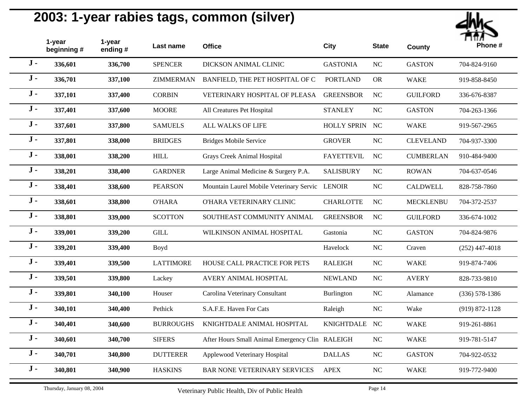

|       | 1-year<br>beginning # | 1-year<br>ending # | Last name             | <b>Office</b>                                   | <b>City</b>       | <b>State</b> | <b>County</b>    | <br>Phone #        |
|-------|-----------------------|--------------------|-----------------------|-------------------------------------------------|-------------------|--------------|------------------|--------------------|
| $J -$ | 336,601               | 336,700            | <b>SPENCER</b>        | DICKSON ANIMAL CLINIC                           | <b>GASTONIA</b>   | NC           | <b>GASTON</b>    | 704-824-9160       |
| $J -$ | 336,701               | 337,100            | <b>ZIMMERMAN</b>      | BANFIELD, THE PET HOSPITAL OF C                 | <b>PORTLAND</b>   | <b>OR</b>    | <b>WAKE</b>      | 919-858-8450       |
| $J -$ | 337,101               | 337,400            | <b>CORBIN</b>         | VETERINARY HOSPITAL OF PLEASA                   | <b>GREENSBOR</b>  | $\rm NC$     | <b>GUILFORD</b>  | 336-676-8387       |
| $J -$ | 337,401               | 337,600            | <b>MOORE</b>          | All Creatures Pet Hospital                      | <b>STANLEY</b>    | <b>NC</b>    | <b>GASTON</b>    | 704-263-1366       |
| $J -$ | 337,601               | 337,800            | <b>SAMUELS</b>        | <b>ALL WALKS OF LIFE</b>                        | HOLLY SPRIN NC    |              | <b>WAKE</b>      | 919-567-2965       |
| $J -$ | 337,801               | 338,000            | <b>BRIDGES</b>        | <b>Bridges Mobile Service</b>                   | <b>GROVER</b>     | NC           | <b>CLEVELAND</b> | 704-937-3300       |
| $J -$ | 338,001               | 338,200            | <b>HILL</b>           | <b>Grays Creek Animal Hospital</b>              | <b>FAYETTEVIL</b> | <b>NC</b>    | <b>CUMBERLAN</b> | 910-484-9400       |
| $J -$ | 338,201               | 338,400            | <b>GARDNER</b>        | Large Animal Medicine & Surgery P.A.            | <b>SALISBURY</b>  | <b>NC</b>    | <b>ROWAN</b>     | 704-637-0546       |
| $J -$ | 338,401               | 338,600            | <b>PEARSON</b>        | Mountain Laurel Mobile Veterinary Servic LENOIR |                   | <b>NC</b>    | <b>CALDWELL</b>  | 828-758-7860       |
| $J -$ | 338,601               | 338,800            | <b>O'HARA</b>         | O'HARA VETERINARY CLINIC                        | <b>CHARLOTTE</b>  | <b>NC</b>    | <b>MECKLENBU</b> | 704-372-2537       |
| $J -$ | 338,801               | 339,000            | <b>SCOTTON</b>        | SOUTHEAST COMMUNITY ANIMAL                      | <b>GREENSBOR</b>  | NC           | <b>GUILFORD</b>  | 336-674-1002       |
| $J -$ | 339,001               | 339,200            | $\operatorname{GILL}$ | WILKINSON ANIMAL HOSPITAL                       | Gastonia          | NC           | <b>GASTON</b>    | 704-824-9876       |
| $J -$ | 339,201               | 339,400            | Boyd                  |                                                 | Havelock          | <b>NC</b>    | Craven           | $(252)$ 447-4018   |
| $J -$ | 339,401               | 339,500            | <b>LATTIMORE</b>      | HOUSE CALL PRACTICE FOR PETS                    | <b>RALEIGH</b>    | $\rm NC$     | <b>WAKE</b>      | 919-874-7406       |
| $J -$ | 339,501               | 339,800            | Lackey                | AVERY ANIMAL HOSPITAL                           | <b>NEWLAND</b>    | NC           | <b>AVERY</b>     | 828-733-9810       |
| $J -$ | 339,801               | 340,100            | Houser                | Carolina Veterinary Consultant                  | Burlington        | NC           | Alamance         | $(336) 578 - 1386$ |
| $J -$ | 340,101               | 340,400            | Pethick               | S.A.F.E. Haven For Cats                         | Raleigh           | NC           | Wake             | $(919) 872 - 1128$ |
| $J -$ | 340,401               | 340,600            | <b>BURROUGHS</b>      | KNIGHTDALE ANIMAL HOSPITAL                      | <b>KNIGHTDALE</b> | NC           | <b>WAKE</b>      | 919-261-8861       |
| $J -$ | 340,601               | 340,700            | <b>SIFERS</b>         | After Hours Small Animal Emergency Clin RALEIGH |                   | NC           | <b>WAKE</b>      | 919-781-5147       |
| $J -$ | 340,701               | 340,800            | <b>DUTTERER</b>       | Applewood Veterinary Hospital                   | <b>DALLAS</b>     | NC           | <b>GASTON</b>    | 704-922-0532       |
| $J -$ | 340,801               | 340,900            | <b>HASKINS</b>        | BAR NONE VETERINARY SERVICES                    | <b>APEX</b>       | NC           | <b>WAKE</b>      | 919-772-9400       |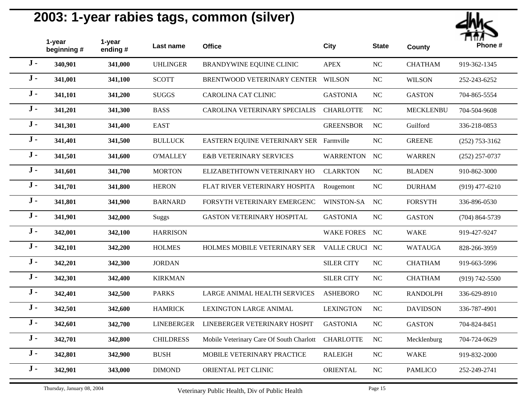

|       | 1-year<br>beginning# | 1-year<br>ending # | Last name         | <b>Office</b>                            | <b>City</b>       | <b>State</b> | <b>County</b>    | Phone #            |
|-------|----------------------|--------------------|-------------------|------------------------------------------|-------------------|--------------|------------------|--------------------|
| $J -$ | 340,901              | 341,000            | <b>UHLINGER</b>   | BRANDYWINE EQUINE CLINIC                 | <b>APEX</b>       | NC           | <b>CHATHAM</b>   | 919-362-1345       |
| $J -$ | 341,001              | 341,100            | <b>SCOTT</b>      | BRENTWOOD VETERINARY CENTER              | <b>WILSON</b>     | $_{\rm NC}$  | <b>WILSON</b>    | 252-243-6252       |
| $J -$ | 341,101              | 341,200            | <b>SUGGS</b>      | CAROLINA CAT CLINIC                      | <b>GASTONIA</b>   | NC           | <b>GASTON</b>    | 704-865-5554       |
| $J -$ | 341,201              | 341,300            | <b>BASS</b>       | CAROLINA VETERINARY SPECIALIS            | <b>CHARLOTTE</b>  | NC           | <b>MECKLENBU</b> | 704-504-9608       |
| $J -$ | 341,301              | 341,400            | <b>EAST</b>       |                                          | <b>GREENSBOR</b>  | NC           | Guilford         | 336-218-0853       |
| $J -$ | 341,401              | 341,500            | <b>BULLUCK</b>    | EASTERN EQUINE VETERINARY SER Farmville  |                   | NC           | <b>GREENE</b>    | $(252)$ 753-3162   |
| $J -$ | 341,501              | 341,600            | <b>O'MALLEY</b>   | <b>E&amp;B VETERINARY SERVICES</b>       | <b>WARRENTON</b>  | NC           | <b>WARREN</b>    | $(252)$ 257-0737   |
| $J -$ | 341,601              | 341,700            | <b>MORTON</b>     | ELIZABETHTOWN VETERINARY HO              | <b>CLARKTON</b>   | NC           | <b>BLADEN</b>    | 910-862-3000       |
| $J -$ | 341,701              | 341,800            | <b>HERON</b>      | FLAT RIVER VETERINARY HOSPITA            | Rougemont         | NC           | <b>DURHAM</b>    | $(919)$ 477-6210   |
| $J -$ | 341,801              | 341,900            | <b>BARNARD</b>    | FORSYTH VETERINARY EMERGENC              | WINSTON-SA        | NC           | <b>FORSYTH</b>   | 336-896-0530       |
| $J -$ | 341,901              | 342,000            | <b>Suggs</b>      | GASTON VETERINARY HOSPITAL               | <b>GASTONIA</b>   | NC           | <b>GASTON</b>    | $(704)$ 864-5739   |
| $J -$ | 342,001              | 342,100            | <b>HARRISON</b>   |                                          | <b>WAKE FORES</b> | NC           | <b>WAKE</b>      | 919-427-9247       |
| $J -$ | 342,101              | 342,200            | <b>HOLMES</b>     | HOLMES MOBILE VETERINARY SER             | VALLE CRUCI NC    |              | <b>WATAUGA</b>   | 828-266-3959       |
| $J -$ | 342,201              | 342,300            | <b>JORDAN</b>     |                                          | <b>SILER CITY</b> | NC           | <b>CHATHAM</b>   | 919-663-5996       |
| $J -$ | 342,301              | 342,400            | <b>KIRKMAN</b>    |                                          | <b>SILER CITY</b> | NC           | <b>CHATHAM</b>   | $(919) 742 - 5500$ |
| $J -$ | 342,401              | 342,500            | <b>PARKS</b>      | LARGE ANIMAL HEALTH SERVICES             | <b>ASHEBORO</b>   | $_{\rm NC}$  | <b>RANDOLPH</b>  | 336-629-8910       |
| $J -$ | 342,501              | 342,600            | <b>HAMRICK</b>    | <b>LEXINGTON LARGE ANIMAL</b>            | <b>LEXINGTON</b>  | $\rm NC$     | <b>DAVIDSON</b>  | 336-787-4901       |
| $J -$ | 342,601              | 342,700            | <b>LINEBERGER</b> | LINEBERGER VETERINARY HOSPIT             | <b>GASTONIA</b>   | NC           | <b>GASTON</b>    | 704-824-8451       |
| $J -$ | 342,701              | 342,800            | <b>CHILDRESS</b>  | Mobile Veterinary Care Of South Charlott | <b>CHARLOTTE</b>  | NC           | Mecklenburg      | 704-724-0629       |
| $J -$ | 342,801              | 342,900            | <b>BUSH</b>       | <b>MOBILE VETERINARY PRACTICE</b>        | <b>RALEIGH</b>    | NC           | <b>WAKE</b>      | 919-832-2000       |
| $J -$ | 342,901              | 343,000            | <b>DIMOND</b>     | ORIENTAL PET CLINIC                      | <b>ORIENTAL</b>   | $_{\rm NC}$  | <b>PAMLICO</b>   | 252-249-2741       |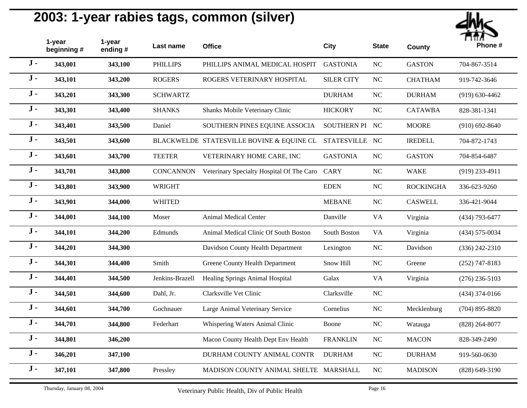

|       | 1-year<br>beginning # | 1-year<br>ending # | Last name        | <b>Office</b>                             | <b>City</b>        | <b>State</b>           | <b>County</b>    | <br>Phone #        |
|-------|-----------------------|--------------------|------------------|-------------------------------------------|--------------------|------------------------|------------------|--------------------|
| $J -$ | 343,001               | 343,100            | <b>PHILLIPS</b>  | PHILLIPS ANIMAL MEDICAL HOSPIT            | <b>GASTONIA</b>    | $\rm NC$               | <b>GASTON</b>    | 704-867-3514       |
| $J -$ | 343,101               | 343,200            | <b>ROGERS</b>    | ROGERS VETERINARY HOSPITAL                | <b>SILER CITY</b>  | NC                     | <b>CHATHAM</b>   | 919-742-3646       |
| $J -$ | 343,201               | 343,300            | <b>SCHWARTZ</b>  |                                           | <b>DURHAM</b>      | $\rm NC$               | <b>DURHAM</b>    | $(919) 630 - 4462$ |
| $J -$ | 343,301               | 343,400            | <b>SHANKS</b>    | Shanks Mobile Veterinary Clinic           | <b>HICKORY</b>     | NC                     | <b>CATAWBA</b>   | 828-381-1341       |
| $J -$ | 343,401               | 343,500            | Daniel           | SOUTHERN PINES EQUINE ASSOCIA             | SOUTHERN PI NC     |                        | <b>MOORE</b>     | $(910)$ 692-8640   |
| $J -$ | 343,501               | 343,600            |                  | BLACKWELDE STATESVILLE BOVINE & EQUINE CL | <b>STATESVILLE</b> | NC                     | <b>IREDELL</b>   | 704-872-1743       |
| $J -$ | 343,601               | 343,700            | <b>TEETER</b>    | VETERINARY HOME CARE, INC                 | <b>GASTONIA</b>    | <b>NC</b>              | <b>GASTON</b>    | 704-854-6487       |
| $J -$ | 343,701               | 343,800            | <b>CONCANNON</b> | Veterinary Specialty Hospital Of The Caro | <b>CARY</b>        | <b>NC</b>              | <b>WAKE</b>      | $(919)$ 233-4911   |
| $J -$ | 343,801               | 343,900            | <b>WRIGHT</b>    |                                           | <b>EDEN</b>        | NC                     | <b>ROCKINGHA</b> | 336-623-9260       |
| $J -$ | 343,901               | 344,000            | <b>WHITED</b>    |                                           | <b>MEBANE</b>      | NC                     | <b>CASWELL</b>   | 336-421-9044       |
| $J -$ | 344,001               | 344,100            | Moser            | <b>Animal Medical Center</b>              | Danville           | <b>VA</b>              | Virginia         | (434) 793-6477     |
| $J -$ | 344,101               | 344,200            | Edmunds          | Animal Medical Clinic Of South Boston     | South Boston       | <b>VA</b>              | Virginia         | $(434) 575 - 0034$ |
| $J -$ | 344,201               | 344,300            |                  | Davidson County Health Department         | Lexington          | NC                     | Davidson         | $(336)$ 242-2310   |
| $J -$ | 344,301               | 344,400            | Smith            | Greene County Health Department           | Snow Hill          | $\rm NC$               | Greene           | $(252)$ 747-8183   |
| $J -$ | 344,401               | 344,500            | Jenkins-Brazell  | Healing Springs Animal Hospital           | Galax              | $\mathbf{V}\mathbf{A}$ | Virginia         | $(276)$ 236-5103   |
| $J -$ | 344,501               | 344,600            | Dahl, Jr.        | Clarksville Vet Clinic                    | Clarksville        | NC                     |                  | $(434)$ 374-0166   |
| $J -$ | 344,601               | 344,700            | Gochnauer        | Large Animal Veterinary Service           | Cornelius          | $\rm NC$               | Mecklenburg      | $(704)$ 895-8820   |
| $J -$ | 344,701               | 344,800            | Federhart        | Whispering Waters Animal Clinic           | Boone              | $\rm NC$               | Watauga          | $(828)$ 264-8077   |
| $J -$ | 344,801               | 346,200            |                  | Macon County Health Dept Env Health       | <b>FRANKLIN</b>    | NC                     | <b>MACON</b>     | 828-349-2490       |
| $J -$ | 346,201               | 347,100            |                  | DURHAM COUNTY ANIMAL CONTR                | <b>DURHAM</b>      | $\rm NC$               | <b>DURHAM</b>    | 919-560-0630       |
| $J -$ | 347,101               | 347,800            | Pressley         | MADISON COUNTY ANIMAL SHELTE              | MARSHALL           | NC                     | <b>MADISON</b>   | (828) 649-3190     |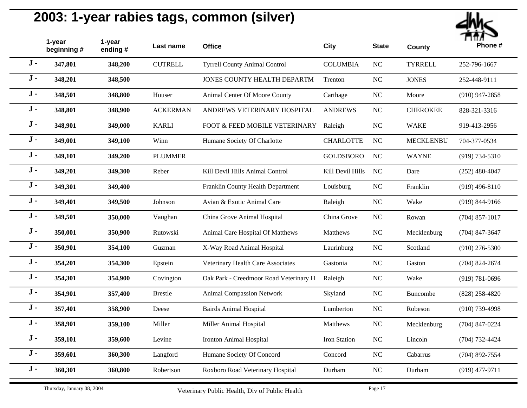

|       | 1-year<br>beginning # | 1-year<br>ending# | Last name       | <b>Office</b>                          | <b>City</b>      | <b>State</b> | <b>County</b>    | .<br>Phone #       |
|-------|-----------------------|-------------------|-----------------|----------------------------------------|------------------|--------------|------------------|--------------------|
| $J -$ | 347,801               | 348,200           | <b>CUTRELL</b>  | <b>Tyrrell County Animal Control</b>   | <b>COLUMBIA</b>  | NC           | <b>TYRRELL</b>   | 252-796-1667       |
| $J -$ | 348,201               | 348,500           |                 | JONES COUNTY HEALTH DEPARTM            | Trenton          | $\rm NC$     | <b>JONES</b>     | 252-448-9111       |
| $J -$ | 348,501               | 348,800           | Houser          | Animal Center Of Moore County          | Carthage         | $\rm NC$     | Moore            | $(910)$ 947-2858   |
| $J -$ | 348,801               | 348,900           | <b>ACKERMAN</b> | ANDREWS VETERINARY HOSPITAL            | <b>ANDREWS</b>   | $\rm NC$     | <b>CHEROKEE</b>  | 828-321-3316       |
| $J -$ | 348,901               | 349,000           | <b>KARLI</b>    | FOOT & FEED MOBILE VETERINARY          | Raleigh          | $\rm NC$     | <b>WAKE</b>      | 919-413-2956       |
| $J -$ | 349,001               | 349,100           | Winn            | Humane Society Of Charlotte            | <b>CHARLOTTE</b> | $\rm NC$     | <b>MECKLENBU</b> | 704-377-0534       |
| $J -$ | 349,101               | 349,200           | <b>PLUMMER</b>  |                                        | <b>GOLDSBORO</b> | $\rm NC$     | <b>WAYNE</b>     | $(919) 734 - 5310$ |
| $J -$ | 349,201               | 349,300           | Reber           | Kill Devil Hills Animal Control        | Kill Devil Hills | <b>NC</b>    | Dare             | $(252)$ 480-4047   |
| $J -$ | 349,301               | 349,400           |                 | Franklin County Health Department      | Louisburg        | NC           | Franklin         | $(919)$ 496-8110   |
| $J -$ | 349,401               | 349,500           | Johnson         | Avian & Exotic Animal Care             | Raleigh          | $\rm NC$     | Wake             | $(919) 844 - 9166$ |
| $J -$ | 349,501               | 350,000           | Vaughan         | China Grove Animal Hospital            | China Grove      | NC           | Rowan            | $(704)$ 857-1017   |
| $J -$ | 350,001               | 350,900           | Rutowski        | Animal Care Hospital Of Matthews       | Matthews         | NC           | Mecklenburg      | $(704)$ 847-3647   |
| $J -$ | 350,901               | 354,100           | Guzman          | X-Way Road Animal Hospital             | Laurinburg       | $\rm NC$     | Scotland         | $(910)$ 276-5300   |
| $J -$ | 354,201               | 354,300           | Epstein         | Veterinary Health Care Associates      | Gastonia         | $\rm NC$     | Gaston           | $(704)$ 824-2674   |
| $J -$ | 354,301               | 354,900           | Covington       | Oak Park - Creedmoor Road Veterinary H | Raleigh          | $\rm NC$     | Wake             | $(919) 781 - 0696$ |
| $J -$ | 354,901               | 357,400           | <b>Brestle</b>  | <b>Animal Compassion Network</b>       | Skyland          | $\rm NC$     | Buncombe         | $(828)$ 258-4820   |
| $J -$ | 357,401               | 358,900           | Deese           | <b>Bairds Animal Hospital</b>          | Lumberton        | NC           | Robeson          | $(910)$ 739-4998   |
| $J -$ | 358,901               | 359,100           | Miller          | Miller Animal Hospital                 | Matthews         | $\rm NC$     | Mecklenburg      | $(704)$ 847-0224   |
| $J -$ | 359,101               | 359,600           | Levine          | <b>Ironton Animal Hospital</b>         | Iron Station     | NC           | Lincoln          | $(704) 732 - 4424$ |
| $J -$ | 359,601               | 360,300           | Langford        | Humane Society Of Concord              | Concord          | $\rm NC$     | Cabarrus         | $(704)$ 892-7554   |
| $J -$ | 360,301               | 360,800           | Robertson       | Roxboro Road Veterinary Hospital       | Durham           | NC           | Durham           | $(919)$ 477-9711   |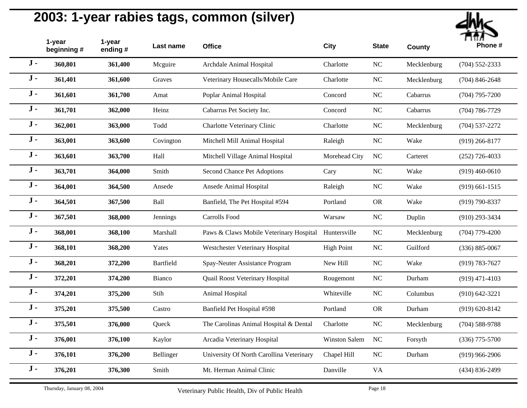

|       | 1-year<br>beginning # | 1-year<br>ending# | Last name     | <b>Office</b>                                        | <b>City</b>       | <b>State</b> | <b>County</b> | Phone #            |
|-------|-----------------------|-------------------|---------------|------------------------------------------------------|-------------------|--------------|---------------|--------------------|
| $J -$ | 360,801               | 361,400           | Mcguire       | Archdale Animal Hospital                             | Charlotte         | <b>NC</b>    | Mecklenburg   | $(704)$ 552-2333   |
| $J -$ | 361,401               | 361,600           | Graves        | Veterinary Housecalls/Mobile Care                    | Charlotte         | NC           | Mecklenburg   | $(704)$ 846-2648   |
| $J -$ | 361,601               | 361,700           | Amat          | Poplar Animal Hospital                               | Concord           | NC           | Cabarrus      | $(704)$ 795-7200   |
| $J -$ | 361,701               | 362,000           | Heinz         | Cabarrus Pet Society Inc.                            | Concord           | <b>NC</b>    | Cabarrus      | $(704) 786 - 7729$ |
| $J -$ | 362,001               | 363,000           | Todd          | Charlotte Veterinary Clinic                          | Charlotte         | <b>NC</b>    | Mecklenburg   | $(704)$ 537-2272   |
| $J -$ | 363,001               | 363,600           | Covington     | Mitchell Mill Animal Hospital                        | Raleigh           | <b>NC</b>    | Wake          | $(919)$ 266-8177   |
| $J -$ | 363,601               | 363,700           | Hall          | Mitchell Village Animal Hospital                     | Morehead City     | NC           | Carteret      | $(252)$ 726-4033   |
| $J -$ | 363,701               | 364,000           | Smith         | Second Chance Pet Adoptions                          | Cary              | <b>NC</b>    | Wake          | $(919)$ 460-0610   |
| $J -$ | 364,001               | 364,500           | Ansede        | Ansede Animal Hospital                               | Raleigh           | <b>NC</b>    | Wake          | $(919)$ 661-1515   |
| $J -$ | 364,501               | 367,500           | Ball          | Banfield, The Pet Hospital #594                      | Portland          | <b>OR</b>    | Wake          | $(919) 790 - 8337$ |
| $J -$ | 367,501               | 368,000           | Jennings      | Carrolls Food                                        | Warsaw            | NC           | Duplin        | $(910)$ 293-3434   |
| $J -$ | 368,001               | 368,100           | Marshall      | Paws & Claws Mobile Veterinary Hospital Huntersville |                   | <b>NC</b>    | Mecklenburg   | $(704)$ 779-4200   |
| $J -$ | 368,101               | 368,200           | Yates         | Westchester Veterinary Hospital                      | <b>High Point</b> | NC           | Guilford      | $(336) 885 - 0067$ |
| $J -$ | 368,201               | 372,200           | Bartfield     | Spay-Neuter Assistance Program                       | New Hill          | <b>NC</b>    | Wake          | $(919) 783 - 7627$ |
| $J -$ | 372,201               | 374,200           | <b>Bianco</b> | Quail Roost Veterinary Hospital                      | Rougemont         | <b>NC</b>    | Durham        | $(919)$ 471-4103   |
| $J -$ | 374,201               | 375,200           | Stih          | Animal Hospital                                      | Whiteville        | NC           | Columbus      | $(910) 642 - 3221$ |
| $J -$ | 375,201               | 375,500           | Castro        | Banfield Pet Hospital #598                           | Portland          | <b>OR</b>    | Durham        | $(919) 620 - 8142$ |
| $J -$ | 375,501               | 376,000           | Queck         | The Carolinas Animal Hospital & Dental               | Charlotte         | NC           | Mecklenburg   | $(704)$ 588-9788   |
| $J -$ | 376,001               | 376,100           | Kaylor        | Arcadia Veterinary Hospital                          | Winston Salem     | <b>NC</b>    | Forsyth       | $(336)$ 775-5700   |
| $J -$ | 376,101               | 376,200           | Bellinger     | University Of North Carollina Veterinary             | Chapel Hill       | NC           | Durham        | $(919)$ 966-2906   |
| $J -$ | 376,201               | 376,300           | Smith         | Mt. Herman Animal Clinic                             | Danville          | <b>VA</b>    |               | $(434) 836 - 2499$ |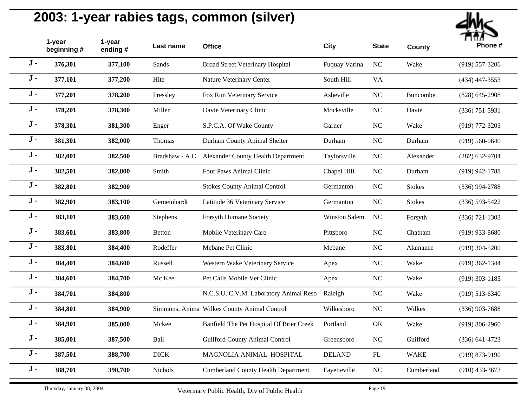

|       | 1-year<br>beginning# | 1-year<br>ending# | Last name     | <b>Office</b>                                      | City                 | <b>State</b> | <b>County</b> | <br>Phone #        |
|-------|----------------------|-------------------|---------------|----------------------------------------------------|----------------------|--------------|---------------|--------------------|
| $J -$ | 376,301              | 377,100           | Sands         | <b>Broad Street Veterinary Hospital</b>            | Fuquay Varina        | NC           | Wake          | $(919) 557 - 3206$ |
| $J -$ | 377,101              | 377,200           | Hite          | Nature Veterinary Center                           | South Hill           | <b>VA</b>    |               | $(434)$ 447-3553   |
| $J -$ | 377,201              | 378,200           | Pressley      | Fox Run Veterinary Service                         | Asheville            | $\rm NC$     | Buncombe      | $(828)$ 645-2908   |
| $J -$ | 378,201              | 378,300           | Miller        | Davie Veterinary Clinic                            | Mocksville           | NC           | Davie         | $(336)$ 751-5931   |
| $J -$ | 378,301              | 381,300           | Enger         | S.P.C.A. Of Wake County                            | Garner               | NC           | Wake          | $(919)$ 772-3203   |
| $J -$ | 381,301              | 382,000           | Thomas        | Durham County Animal Shelter                       | Durham               | NC           | Durham        | $(919) 560 - 0640$ |
| $J -$ | 382,001              | 382,500           |               | Bradshaw - A.C. Alexander County Health Department | Taylorsville         | NC           | Alexander     | $(282)$ 632-9704   |
| $J -$ | 382,501              | 382,800           | Smith         | Four Paws Animal Clinic                            | Chapel Hill          | <b>NC</b>    | Durham        | $(919)$ 942-1788   |
| $J -$ | 382,801              | 382,900           |               | <b>Stokes County Animal Control</b>                | Germanton            | <b>NC</b>    | <b>Stokes</b> | $(336)$ 994-2788   |
| $J -$ | 382,901              | 383,100           | Gemeinhardt   | Latitude 36 Veterinary Service                     | Germanton            | NC           | <b>Stokes</b> | $(336) 593 - 5422$ |
| $J -$ | 383,101              | 383,600           | Stephens      | Forsyth Humane Society                             | <b>Winston Salem</b> | <b>NC</b>    | Forsyth       | $(336)$ 721-1303   |
| $J -$ | 383,601              | 383,800           | <b>Betton</b> | Mobile Veterinary Care                             | Pittsboro            | NC           | Chatham       | $(919)$ 933-8680   |
| $J -$ | 383,801              | 384,400           | Rodeffer      | Mebane Pet Clinic                                  | Mebane               | NC           | Alamance      | $(919)$ 304-5200   |
| $J -$ | 384,401              | 384,600           | Russell       | Western Wake Veterinary Service                    | Apex                 | NC           | Wake          | $(919)$ 362-1344   |
| $J -$ | 384,601              | 384,700           | Mc Kee        | Pet Calls Mobile Vet Clinic                        | Apex                 | NC           | Wake          | $(919)$ 303-1185   |
| $J -$ | 384,701              | 384,800           |               | N.C.S.U. C.V.M. Laboratory Animal Reso             | Raleigh              | NC           | Wake          | $(919) 513 - 6340$ |
| $J -$ | 384,801              | 384,900           |               | Simmons, Anima Wilkes County Animal Control        | Wilkesboro           | NC           | Wilkes        | $(336)$ 903-7688   |
| $J -$ | 384,901              | 385,000           | Mckee         | Banfield The Pet Hospital Of Brier Creek           | Portland             | <b>OR</b>    | Wake          | $(919) 806 - 2960$ |
| $J -$ | 385,001              | 387,500           | Ball          | <b>Guilford County Animal Control</b>              | Greensboro           | NC           | Guilford      | $(336) 641 - 4723$ |
| $J -$ | 387,501              | 388,700           | $DICK$        | MAGNOLIA ANIMAL HOSPITAL                           | <b>DELAND</b>        | ${\rm FL}$   | <b>WAKE</b>   | $(919) 873 - 9190$ |
| $J -$ | 388,701              | 390,700           | Nichols       | <b>Cumberland County Health Department</b>         | Fayetteville         | <b>NC</b>    | Cumberland    | $(910)$ 433-3673   |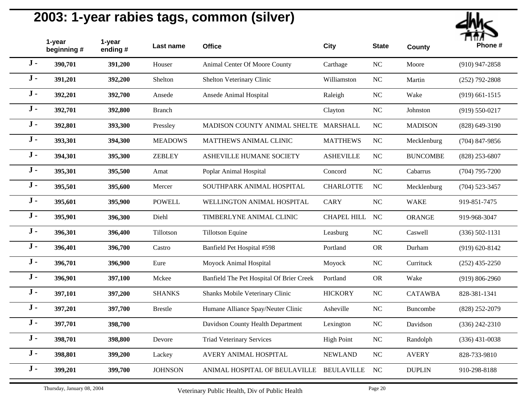

|       | 1-year<br>beginning # | 1-year<br>ending# | Last name      | <b>Office</b>                            | City               | <b>State</b> | <b>County</b>   | Phone #            |
|-------|-----------------------|-------------------|----------------|------------------------------------------|--------------------|--------------|-----------------|--------------------|
| $J -$ | 390,701               | 391,200           | Houser         | Animal Center Of Moore County            | Carthage           | NC           | Moore           | $(910)$ 947-2858   |
| $J -$ | 391,201               | 392,200           | Shelton        | Shelton Veterinary Clinic                | Williamston        | <b>NC</b>    | Martin          | $(252)$ 792-2808   |
| $J -$ | 392,201               | 392,700           | Ansede         | Ansede Animal Hospital                   | Raleigh            | NC           | Wake            | $(919)$ 661-1515   |
| $J -$ | 392,701               | 392,800           | <b>Branch</b>  |                                          | Clayton            | NC           | Johnston        | $(919) 550 - 0217$ |
| $J -$ | 392,801               | 393,300           | Pressley       | MADISON COUNTY ANIMAL SHELTE MARSHALL    |                    | NC           | <b>MADISON</b>  | $(828) 649 - 3190$ |
| $J -$ | 393,301               | 394,300           | <b>MEADOWS</b> | MATTHEWS ANIMAL CLINIC                   | <b>MATTHEWS</b>    | $\rm NC$     | Mecklenburg     | $(704)$ 847-9856   |
| $J -$ | 394,301               | 395,300           | <b>ZEBLEY</b>  | ASHEVILLE HUMANE SOCIETY                 | <b>ASHEVILLE</b>   | NC           | <b>BUNCOMBE</b> | $(828)$ 253-6807   |
| $J -$ | 395,301               | 395,500           | Amat           | Poplar Animal Hospital                   | Concord            | <b>NC</b>    | Cabarrus        | $(704)$ 795-7200   |
| $J -$ | 395,501               | 395,600           | Mercer         | SOUTHPARK ANIMAL HOSPITAL                | <b>CHARLOTTE</b>   | <b>NC</b>    | Mecklenburg     | $(704)$ 523-3457   |
| $J -$ | 395,601               | 395,900           | <b>POWELL</b>  | WELLINGTON ANIMAL HOSPITAL               | <b>CARY</b>        | $\rm NC$     | <b>WAKE</b>     | 919-851-7475       |
| $J -$ | 395,901               | 396,300           | Diehl          | TIMBERLYNE ANIMAL CLINIC                 | <b>CHAPEL HILL</b> | <b>NC</b>    | <b>ORANGE</b>   | 919-968-3047       |
| $J -$ | 396,301               | 396,400           | Tillotson      | Tillotson Equine                         | Leasburg           | <b>NC</b>    | Caswell         | $(336) 502 - 1131$ |
| $J -$ | 396,401               | 396,700           | Castro         | Banfield Pet Hospital #598               | Portland           | <b>OR</b>    | Durham          | $(919) 620 - 8142$ |
| $J -$ | 396,701               | 396,900           | Eure           | Moyock Animal Hospital                   | Moyock             | $\rm NC$     | Currituck       | $(252)$ 435-2250   |
| $J -$ | 396,901               | 397,100           | Mckee          | Banfield The Pet Hospital Of Brier Creek | Portland           | <b>OR</b>    | Wake            | $(919) 806 - 2960$ |
| $J -$ | 397,101               | 397,200           | <b>SHANKS</b>  | Shanks Mobile Veterinary Clinic          | <b>HICKORY</b>     | NC           | <b>CATAWBA</b>  | 828-381-1341       |
| $J -$ | 397,201               | 397,700           | <b>Brestle</b> | Humane Alliance Spay/Neuter Clinic       | Asheville          | <b>NC</b>    | Buncombe        | $(828)$ 252-2079   |
| $J -$ | 397,701               | 398,700           |                | Davidson County Health Department        | Lexington          | NC           | Davidson        | $(336)$ 242-2310   |
| $J -$ | 398,701               | 398,800           | Devore         | <b>Triad Veterinary Services</b>         | <b>High Point</b>  | $\rm NC$     | Randolph        | $(336)$ 431-0038   |
| $J -$ | 398,801               | 399,200           | Lackey         | AVERY ANIMAL HOSPITAL                    | <b>NEWLAND</b>     | NC           | <b>AVERY</b>    | 828-733-9810       |
| $J -$ | 399,201               | 399,700           | <b>JOHNSON</b> | ANIMAL HOSPITAL OF BEULAVILLE            | <b>BEULAVILLE</b>  | <b>NC</b>    | <b>DUPLIN</b>   | 910-298-8188       |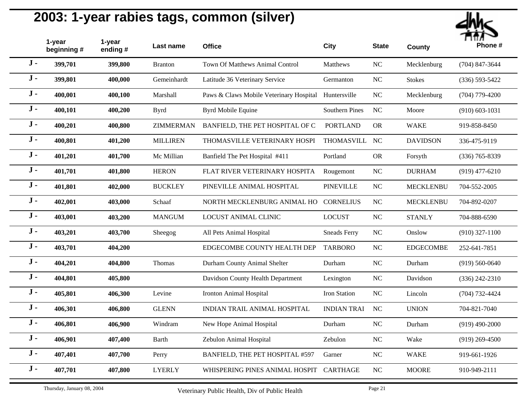

|       | 1-year<br>beginning # | 1-year<br>ending# | Last name        | <b>Office</b>                           | <b>City</b>           | <b>State</b>     | <b>County</b>    | <br>Phone #        |
|-------|-----------------------|-------------------|------------------|-----------------------------------------|-----------------------|------------------|------------------|--------------------|
| $J -$ | 399,701               | 399,800           | <b>Branton</b>   | Town Of Matthews Animal Control         | Matthews              | <b>NC</b>        | Mecklenburg      | $(704)$ 847-3644   |
| $J -$ | 399,801               | 400,000           | Gemeinhardt      | Latitude 36 Veterinary Service          | Germanton             | <b>NC</b>        | <b>Stokes</b>    | $(336) 593 - 5422$ |
| $J -$ | 400,001               | 400,100           | Marshall         | Paws & Claws Mobile Veterinary Hospital | Huntersville          | NC               | Mecklenburg      | $(704)$ 779-4200   |
| $J -$ | 400,101               | 400,200           | <b>Byrd</b>      | <b>Byrd Mobile Equine</b>               | <b>Southern Pines</b> | <b>NC</b>        | Moore            | $(910)$ 603-1031   |
| $J -$ | 400,201               | 400,800           | <b>ZIMMERMAN</b> | BANFIELD, THE PET HOSPITAL OF C         | <b>PORTLAND</b>       | <b>OR</b>        | <b>WAKE</b>      | 919-858-8450       |
| $J -$ | 400,801               | 401,200           | <b>MILLIREN</b>  | THOMASVILLE VETERINARY HOSPI            | <b>THOMASVILL</b>     | <b>NC</b>        | <b>DAVIDSON</b>  | 336-475-9119       |
| $J -$ | 401,201               | 401,700           | Mc Millian       | Banfield The Pet Hospital #411          | Portland              | <b>OR</b>        | Forsyth          | $(336)$ 765-8339   |
| $J -$ | 401,701               | 401,800           | <b>HERON</b>     | FLAT RIVER VETERINARY HOSPITA           | Rougemont             | NC               | <b>DURHAM</b>    | $(919)$ 477-6210   |
| $J -$ | 401,801               | 402,000           | <b>BUCKLEY</b>   | PINEVILLE ANIMAL HOSPITAL               | <b>PINEVILLE</b>      | NC               | <b>MECKLENBU</b> | 704-552-2005       |
| $J -$ | 402,001               | 403,000           | Schaaf           | NORTH MECKLENBURG ANIMAL HO             | <b>CORNELIUS</b>      | <b>NC</b>        | <b>MECKLENBU</b> | 704-892-0207       |
| $J -$ | 403,001               | 403,200           | <b>MANGUM</b>    | <b>LOCUST ANIMAL CLINIC</b>             | <b>LOCUST</b>         | NC               | <b>STANLY</b>    | 704-888-6590       |
| $J -$ | 403,201               | 403,700           | Sheegog          | All Pets Animal Hospital                | <b>Sneads Ferry</b>   | <b>NC</b>        | Onslow           | $(910)$ 327-1100   |
| $J -$ | 403,701               | 404,200           |                  | EDGECOMBE COUNTY HEALTH DEP             | <b>TARBORO</b>        | <b>NC</b>        | <b>EDGECOMBE</b> | 252-641-7851       |
| $J -$ | 404,201               | 404,800           | Thomas           | Durham County Animal Shelter            | Durham                | <b>NC</b>        | Durham           | $(919) 560 - 0640$ |
| $J -$ | 404,801               | 405,800           |                  | Davidson County Health Department       | Lexington             | <b>NC</b>        | Davidson         | $(336)$ 242-2310   |
| $J -$ | 405,801               | 406,300           | Levine           | <b>Ironton Animal Hospital</b>          | Iron Station          | $_{\mathrm{NC}}$ | Lincoln          | $(704) 732 - 4424$ |
| $J -$ | 406,301               | 406,800           | <b>GLENN</b>     | <b>INDIAN TRAIL ANIMAL HOSPITAL</b>     | <b>INDIAN TRAI</b>    | <b>NC</b>        | <b>UNION</b>     | 704-821-7040       |
| $J -$ | 406,801               | 406,900           | Windram          | New Hope Animal Hospital                | Durham                | NC               | Durham           | $(919)$ 490-2000   |
| $J -$ | 406,901               | 407,400           | Barth            | Zebulon Animal Hospital                 | Zebulon               | <b>NC</b>        | Wake             | $(919)$ 269-4500   |
| $J -$ | 407,401               | 407,700           | Perry            | BANFIELD, THE PET HOSPITAL #597         | Garner                | $_{\rm NC}$      | <b>WAKE</b>      | 919-661-1926       |
| $J -$ | 407,701               | 407,800           | <b>LYERLY</b>    | WHISPERING PINES ANIMAL HOSPIT          | <b>CARTHAGE</b>       | NC               | <b>MOORE</b>     | 910-949-2111       |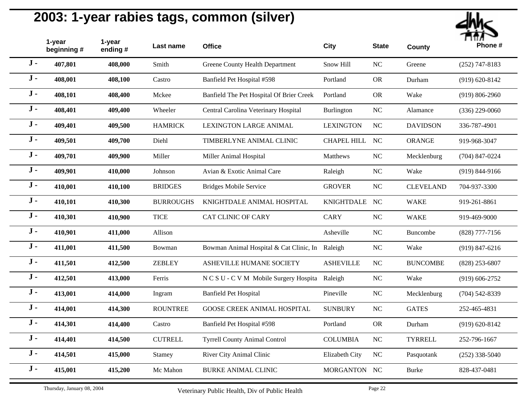

|       | 1-year<br>beginning # | 1-year<br>ending# | Last name        | <b>Office</b>                                   | <b>City</b>        | <b>State</b> | <b>County</b>    | Phone #            |
|-------|-----------------------|-------------------|------------------|-------------------------------------------------|--------------------|--------------|------------------|--------------------|
| $J -$ | 407,801               | 408,000           | Smith            | Greene County Health Department                 | Snow Hill          | <b>NC</b>    | Greene           | $(252)$ 747-8183   |
| $J -$ | 408,001               | 408,100           | Castro           | Banfield Pet Hospital #598                      | Portland           | <b>OR</b>    | Durham           | $(919) 620 - 8142$ |
| $J -$ | 408,101               | 408,400           | Mckee            | Banfield The Pet Hospital Of Brier Creek        | Portland           | <b>OR</b>    | Wake             | $(919) 806 - 2960$ |
| $J -$ | 408,401               | 409,400           | Wheeler          | Central Carolina Veterinary Hospital            | Burlington         | <b>NC</b>    | Alamance         | $(336)$ 229-0060   |
| $J -$ | 409,401               | 409,500           | <b>HAMRICK</b>   | <b>LEXINGTON LARGE ANIMAL</b>                   | <b>LEXINGTON</b>   | NC           | <b>DAVIDSON</b>  | 336-787-4901       |
| $J -$ | 409,501               | 409,700           | Diehl            | TIMBERLYNE ANIMAL CLINIC                        | <b>CHAPEL HILL</b> | <b>NC</b>    | <b>ORANGE</b>    | 919-968-3047       |
| $J -$ | 409,701               | 409,900           | Miller           | Miller Animal Hospital                          | Matthews           | $_{\rm NC}$  | Mecklenburg      | $(704)$ 847-0224   |
| $J -$ | 409,901               | 410,000           | Johnson          | Avian & Exotic Animal Care                      | Raleigh            | <b>NC</b>    | Wake             | $(919) 844 - 9166$ |
| $J -$ | 410,001               | 410,100           | <b>BRIDGES</b>   | <b>Bridges Mobile Service</b>                   | <b>GROVER</b>      | NC           | <b>CLEVELAND</b> | 704-937-3300       |
| $J -$ | 410,101               | 410,300           | <b>BURROUGHS</b> | KNIGHTDALE ANIMAL HOSPITAL                      | <b>KNIGHTDALE</b>  | NC           | <b>WAKE</b>      | 919-261-8861       |
| $J -$ | 410,301               | 410,900           | <b>TICE</b>      | <b>CAT CLINIC OF CARY</b>                       | <b>CARY</b>        | NC           | <b>WAKE</b>      | 919-469-9000       |
| $J -$ | 410,901               | 411,000           | Allison          |                                                 | Asheville          | <b>NC</b>    | Buncombe         | $(828)$ 777-7156   |
| $J -$ | 411,001               | 411,500           | Bowman           | Bowman Animal Hospital & Cat Clinic, In Raleigh |                    | NC           | Wake             | $(919) 847 - 6216$ |
| $J -$ | 411,501               | 412,500           | <b>ZEBLEY</b>    | ASHEVILLE HUMANE SOCIETY                        | <b>ASHEVILLE</b>   | <b>NC</b>    | <b>BUNCOMBE</b>  | $(828)$ 253-6807   |
| $J -$ | 412,501               | 413,000           | Ferris           | N C S U - C V M Mobile Surgery Hospita          | Raleigh            | NC           | Wake             | $(919) 606 - 2752$ |
| $J -$ | 413,001               | 414,000           | Ingram           | <b>Banfield Pet Hospital</b>                    | Pineville          | NC           | Mecklenburg      | $(704)$ 542-8339   |
| $J -$ | 414,001               | 414,300           | <b>ROUNTREE</b>  | <b>GOOSE CREEK ANIMAL HOSPITAL</b>              | <b>SUNBURY</b>     | NC           | <b>GATES</b>     | 252-465-4831       |
| $J -$ | 414,301               | 414,400           | Castro           | Banfield Pet Hospital #598                      | Portland           | <b>OR</b>    | Durham           | $(919) 620 - 8142$ |
| $J -$ | 414,401               | 414,500           | <b>CUTRELL</b>   | <b>Tyrrell County Animal Control</b>            | <b>COLUMBIA</b>    | NC           | <b>TYRRELL</b>   | 252-796-1667       |
| $J -$ | 414,501               | 415,000           | Stamey           | River City Animal Clinic                        | Elizabeth City     | NC           | Pasquotank       | $(252)$ 338-5040   |
| $J -$ | 415,001               | 415,200           | Mc Mahon         | <b>BURKE ANIMAL CLINIC</b>                      | MORGANTON NC       |              | <b>Burke</b>     | 828-437-0481       |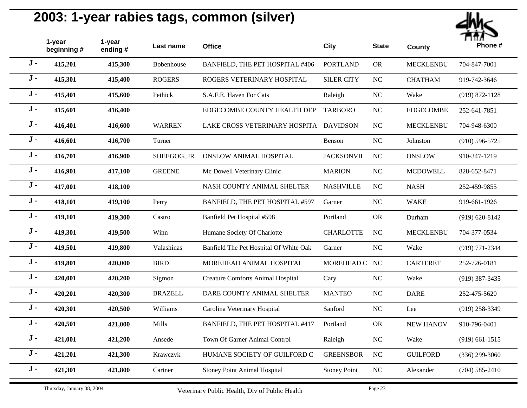

|       | 1-year<br>beginning# | 1-year<br>ending # | Last name      | <b>Office</b>                            | <b>City</b>         | <b>State</b>   | <b>County</b>    | <br>Phone #        |
|-------|----------------------|--------------------|----------------|------------------------------------------|---------------------|----------------|------------------|--------------------|
| $J -$ | 415,201              | 415,300            | Bobenhouse     | BANFIELD, THE PET HOSPITAL #406          | <b>PORTLAND</b>     | ${\rm OR}$     | <b>MECKLENBU</b> | 704-847-7001       |
| $J -$ | 415,301              | 415,400            | <b>ROGERS</b>  | ROGERS VETERINARY HOSPITAL               | <b>SILER CITY</b>   | $\rm NC$       | <b>CHATHAM</b>   | 919-742-3646       |
| $J -$ | 415,401              | 415,600            | Pethick        | S.A.F.E. Haven For Cats                  | Raleigh             | $\rm NC$       | Wake             | $(919) 872 - 1128$ |
| $J -$ | 415,601              | 416,400            |                | EDGECOMBE COUNTY HEALTH DEP              | <b>TARBORO</b>      | N <sub>C</sub> | <b>EDGECOMBE</b> | 252-641-7851       |
| $J -$ | 416,401              | 416,600            | <b>WARREN</b>  | LAKE CROSS VETERINARY HOSPITA DAVIDSON   |                     | <b>NC</b>      | <b>MECKLENBU</b> | 704-948-6300       |
| $J -$ | 416,601              | 416,700            | Turner         |                                          | Benson              | NC             | Johnston         | $(910) 596 - 5725$ |
| $J -$ | 416,701              | 416,900            | SHEEGOG, JR    | <b>ONSLOW ANIMAL HOSPITAL</b>            | <b>JACKSONVIL</b>   | NC             | <b>ONSLOW</b>    | 910-347-1219       |
| $J -$ | 416,901              | 417,100            | <b>GREENE</b>  | Mc Dowell Veterinary Clinic              | <b>MARION</b>       | $\rm NC$       | <b>MCDOWELL</b>  | 828-652-8471       |
| $J -$ | 417,001              | 418,100            |                | NASH COUNTY ANIMAL SHELTER               | <b>NASHVILLE</b>    | NC             | <b>NASH</b>      | 252-459-9855       |
| $J -$ | 418,101              | 419,100            | Perry          | BANFIELD, THE PET HOSPITAL #597          | Garner              | NC             | <b>WAKE</b>      | 919-661-1926       |
| $J -$ | 419,101              | 419,300            | Castro         | Banfield Pet Hospital #598               | Portland            | <b>OR</b>      | Durham           | $(919) 620 - 8142$ |
| $J -$ | 419,301              | 419,500            | Winn           | Humane Society Of Charlotte              | <b>CHARLOTTE</b>    | NC             | <b>MECKLENBU</b> | 704-377-0534       |
| $J -$ | 419,501              | 419,800            | Valashinas     | Banfield The Pet Hospital Of White Oak   | Garner              | $\rm NC$       | Wake             | (919) 771-2344     |
| $J -$ | 419,801              | 420,000            | <b>BIRD</b>    | MOREHEAD ANIMAL HOSPITAL                 | MOREHEAD C NC       |                | <b>CARTERET</b>  | 252-726-0181       |
| $J -$ | 420,001              | 420,200            | Sigmon         | <b>Creature Comforts Animal Hospital</b> | Cary                | NC             | Wake             | $(919)$ 387-3435   |
| $J -$ | 420,201              | 420,300            | <b>BRAZELL</b> | DARE COUNTY ANIMAL SHELTER               | <b>MANTEO</b>       | NC             | <b>DARE</b>      | 252-475-5620       |
| $J -$ | 420,301              | 420,500            | Williams       | Carolina Veterinary Hospital             | Sanford             | $\rm NC$       | Lee              | $(919)$ 258-3349   |
| $J -$ | 420,501              | 421,000            | Mills          | BANFIELD, THE PET HOSPITAL #417          | Portland            | <b>OR</b>      | <b>NEW HANOV</b> | 910-796-0401       |
| $J -$ | 421,001              | 421,200            | Ansede         | Town Of Garner Animal Control            | Raleigh             | $\rm NC$       | Wake             | $(919)$ 661-1515   |
| $J -$ | 421,201              | 421,300            | Krawczyk       | HUMANE SOCIETY OF GUILFORD C             | <b>GREENSBOR</b>    | NC             | <b>GUILFORD</b>  | $(336)$ 299-3060   |
| $J -$ | 421,301              | 421,800            | Cartner        | <b>Stoney Point Animal Hospital</b>      | <b>Stoney Point</b> | <b>NC</b>      | Alexander        | $(704) 585 - 2410$ |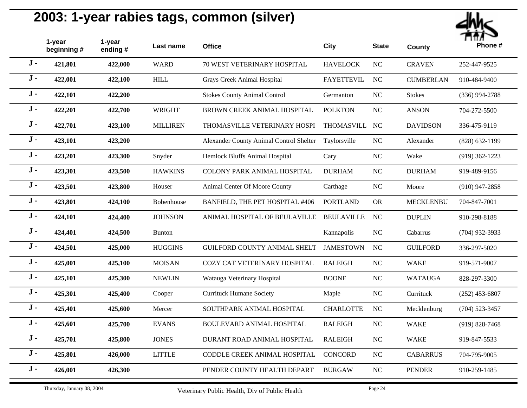

|       | 1-year<br>beginning# | 1-year<br>ending# | Last name       | <b>Office</b>                           | <b>City</b>       | <b>State</b> | <b>County</b>    | Phone #            |
|-------|----------------------|-------------------|-----------------|-----------------------------------------|-------------------|--------------|------------------|--------------------|
| $J -$ | 421,801              | 422,000           | <b>WARD</b>     | 70 WEST VETERINARY HOSPITAL             | <b>HAVELOCK</b>   | $\rm NC$     | <b>CRAVEN</b>    | 252-447-9525       |
| $J -$ | 422,001              | 422,100           | <b>HILL</b>     | Grays Creek Animal Hospital             | <b>FAYETTEVIL</b> | <b>NC</b>    | <b>CUMBERLAN</b> | 910-484-9400       |
| $J -$ | 422,101              | 422,200           |                 | <b>Stokes County Animal Control</b>     | Germanton         | $\rm NC$     | <b>Stokes</b>    | $(336)$ 994-2788   |
| $J -$ | 422,201              | 422,700           | <b>WRIGHT</b>   | BROWN CREEK ANIMAL HOSPITAL             | <b>POLKTON</b>    | <b>NC</b>    | <b>ANSON</b>     | 704-272-5500       |
| $J -$ | 422,701              | 423,100           | <b>MILLIREN</b> | THOMASVILLE VETERINARY HOSPI            | THOMASVILL        | NC           | <b>DAVIDSON</b>  | 336-475-9119       |
| $J -$ | 423,101              | 423,200           |                 | Alexander County Animal Control Shelter | Taylorsville      | $_{\rm NC}$  | Alexander        | $(828) 632 - 1199$ |
| $J -$ | 423,201              | 423,300           | Snyder          | Hemlock Bluffs Animal Hospital          | Cary              | <b>NC</b>    | Wake             | $(919)$ 362-1223   |
| $J -$ | 423,301              | 423,500           | <b>HAWKINS</b>  | COLONY PARK ANIMAL HOSPITAL             | <b>DURHAM</b>     | <b>NC</b>    | <b>DURHAM</b>    | 919-489-9156       |
| $J -$ | 423,501              | 423,800           | Houser          | Animal Center Of Moore County           | Carthage          | <b>NC</b>    | Moore            | $(910)$ 947-2858   |
| $J -$ | 423,801              | 424,100           | Bobenhouse      | BANFIELD, THE PET HOSPITAL #406         | <b>PORTLAND</b>   | ${\rm OR}$   | <b>MECKLENBU</b> | 704-847-7001       |
| $J -$ | 424,101              | 424,400           | <b>JOHNSON</b>  | ANIMAL HOSPITAL OF BEULAVILLE           | <b>BEULAVILLE</b> | <b>NC</b>    | <b>DUPLIN</b>    | 910-298-8188       |
| $J -$ | 424,401              | 424,500           | <b>Bunton</b>   |                                         | Kannapolis        | NC           | Cabarrus         | $(704)$ 932-3933   |
| $J -$ | 424,501              | 425,000           | <b>HUGGINS</b>  | GUILFORD COUNTY ANIMAL SHELT            | <b>JAMESTOWN</b>  | <b>NC</b>    | <b>GUILFORD</b>  | 336-297-5020       |
| $J -$ | 425,001              | 425,100           | <b>MOISAN</b>   | COZY CAT VETERINARY HOSPITAL            | <b>RALEIGH</b>    | $\rm NC$     | <b>WAKE</b>      | 919-571-9007       |
| $J -$ | 425,101              | 425,300           | <b>NEWLIN</b>   | Watauga Veterinary Hospital             | <b>BOONE</b>      | NC           | <b>WATAUGA</b>   | 828-297-3300       |
| $J -$ | 425,301              | 425,400           | Cooper          | <b>Currituck Humane Society</b>         | Maple             | NC           | Currituck        | $(252)$ 453-6807   |
| $J -$ | 425,401              | 425,600           | Mercer          | SOUTHPARK ANIMAL HOSPITAL               | <b>CHARLOTTE</b>  | NC           | Mecklenburg      | $(704)$ 523-3457   |
| $J -$ | 425,601              | 425,700           | <b>EVANS</b>    | BOULEVARD ANIMAL HOSPITAL               | <b>RALEIGH</b>    | NC           | <b>WAKE</b>      | $(919) 828 - 7468$ |
| $J -$ | 425,701              | 425,800           | <b>JONES</b>    | DURANT ROAD ANIMAL HOSPITAL             | <b>RALEIGH</b>    | $_{\rm NC}$  | <b>WAKE</b>      | 919-847-5533       |
| $J -$ | 425,801              | 426,000           | <b>LITTLE</b>   | CODDLE CREEK ANIMAL HOSPITAL            | CONCORD           | <b>NC</b>    | <b>CABARRUS</b>  | 704-795-9005       |
| $J -$ | 426,001              | 426,300           |                 | PENDER COUNTY HEALTH DEPART             | <b>BURGAW</b>     | NC           | <b>PENDER</b>    | 910-259-1485       |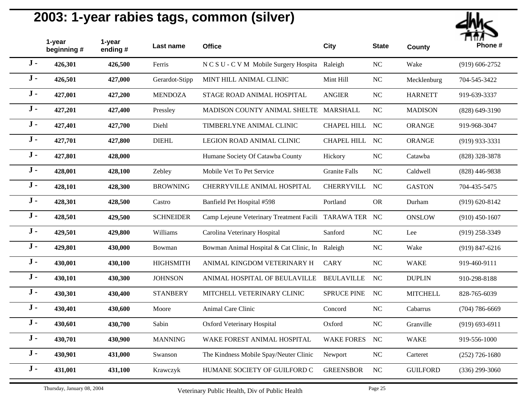| Phona# |
|--------|

|       | 1-year<br>beginning# | 1-year<br>ending # | Last name        | <b>Office</b>                                          | <b>City</b>          | <b>State</b> | <b>County</b>   | Phone #            |
|-------|----------------------|--------------------|------------------|--------------------------------------------------------|----------------------|--------------|-----------------|--------------------|
| $J -$ | 426,301              | 426,500            | Ferris           | N C S U - C V M Mobile Surgery Hospita Raleigh         |                      | <b>NC</b>    | Wake            | $(919) 606 - 2752$ |
| $J -$ | 426,501              | 427,000            | Gerardot-Stipp   | MINT HILL ANIMAL CLINIC                                | Mint Hill            | <b>NC</b>    | Mecklenburg     | 704-545-3422       |
| $J -$ | 427,001              | 427,200            | <b>MENDOZA</b>   | STAGE ROAD ANIMAL HOSPITAL                             | <b>ANGIER</b>        | NC           | <b>HARNETT</b>  | 919-639-3337       |
| $J -$ | 427,201              | 427,400            | Pressley         | MADISON COUNTY ANIMAL SHELTE MARSHALL                  |                      | <b>NC</b>    | <b>MADISON</b>  | $(828) 649 - 3190$ |
| $J -$ | 427,401              | 427,700            | Diehl            | TIMBERLYNE ANIMAL CLINIC                               | CHAPEL HILL NC       |              | <b>ORANGE</b>   | 919-968-3047       |
| $J -$ | 427,701              | 427,800            | <b>DIEHL</b>     | LEGION ROAD ANIMAL CLINIC                              | <b>CHAPEL HILL</b>   | <b>NC</b>    | <b>ORANGE</b>   | (919) 933-3331     |
| $J -$ | 427,801              | 428,000            |                  | Humane Society Of Catawba County                       | Hickory              | NC           | Catawba         | $(828)$ 328-3878   |
| $J -$ | 428,001              | 428,100            | Zebley           | Mobile Vet To Pet Service                              | <b>Granite Falls</b> | <b>NC</b>    | Caldwell        | $(828)$ 446-9838   |
| $J -$ | 428,101              | 428,300            | <b>BROWNING</b>  | CHERRYVILLE ANIMAL HOSPITAL                            | <b>CHERRYVILL</b>    | <b>NC</b>    | <b>GASTON</b>   | 704-435-5475       |
| $J -$ | 428,301              | 428,500            | Castro           | Banfield Pet Hospital #598                             | Portland             | <b>OR</b>    | Durham          | $(919) 620 - 8142$ |
| $J -$ | 428,501              | 429,500            | <b>SCHNEIDER</b> | Camp Lejeune Veterinary Treatment Facili TARAWA TER NC |                      |              | <b>ONSLOW</b>   | $(910)$ 450-1607   |
| $J -$ | 429,501              | 429,800            | Williams         | Carolina Veterinary Hospital                           | Sanford              | <b>NC</b>    | Lee             | $(919)$ 258-3349   |
| $J -$ | 429,801              | 430,000            | Bowman           | Bowman Animal Hospital & Cat Clinic, In Raleigh        |                      | NC           | Wake            | $(919) 847 - 6216$ |
| $J -$ | 430,001              | 430,100            | <b>HIGHSMITH</b> | ANIMAL KINGDOM VETERINARY H                            | <b>CARY</b>          | <b>NC</b>    | <b>WAKE</b>     | 919-460-9111       |
| $J -$ | 430,101              | 430,300            | <b>JOHNSON</b>   | ANIMAL HOSPITAL OF BEULAVILLE                          | <b>BEULAVILLE</b>    | NC           | <b>DUPLIN</b>   | 910-298-8188       |
| $J -$ | 430,301              | 430,400            | <b>STANBERY</b>  | MITCHELL VETERINARY CLINIC                             | <b>SPRUCE PINE</b>   | <b>NC</b>    | <b>MITCHELL</b> | 828-765-6039       |
| $J -$ | 430,401              | 430,600            | Moore            | Animal Care Clinic                                     | Concord              | <b>NC</b>    | Cabarrus        | $(704) 786 - 6669$ |
| $J -$ | 430,601              | 430,700            | Sabin            | <b>Oxford Veterinary Hospital</b>                      | Oxford               | NC           | Granville       | $(919) 693 - 6911$ |
| $J -$ | 430,701              | 430,900            | <b>MANNING</b>   | WAKE FOREST ANIMAL HOSPITAL                            | <b>WAKE FORES</b>    | NC           | <b>WAKE</b>     | 919-556-1000       |
| $J -$ | 430,901              | 431,000            | Swanson          | The Kindness Mobile Spay/Neuter Clinic                 | Newport              | NC           | Carteret        | $(252)$ 726-1680   |
| $J -$ | 431,001              | 431,100            | Krawczyk         | HUMANE SOCIETY OF GUILFORD C                           | <b>GREENSBOR</b>     | <b>NC</b>    | <b>GUILFORD</b> | $(336)$ 299-3060   |